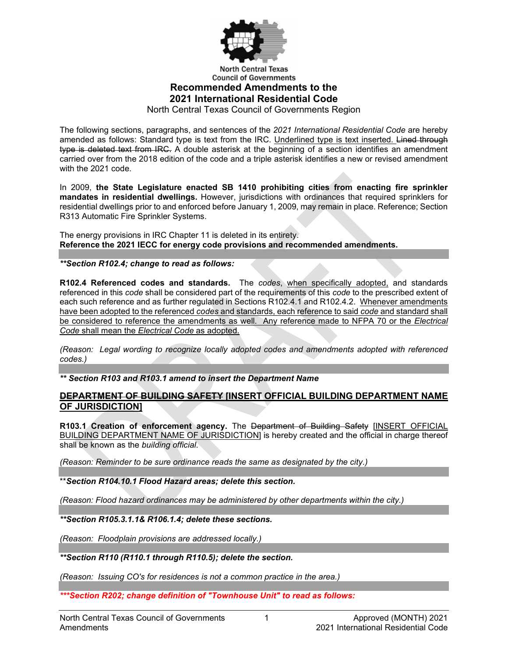

**North Central Texas Council of Governments** 

# **Recommended Amendments to the 2021 International Residential Code**

North Central Texas Council of Governments Region

The following sections, paragraphs, and sentences of the *2021 International Residential Code* are hereby amended as follows: Standard type is text from the IRC. Underlined type is text inserted. Lined through type is deleted text from IRC. A double asterisk at the beginning of a section identifies an amendment carried over from the 2018 edition of the code and a triple asterisk identifies a new or revised amendment with the 2021 code.

In 2009, **the State Legislature enacted SB 1410 prohibiting cities from enacting fire sprinkler mandates in residential dwellings.** However, jurisdictions with ordinances that required sprinklers for residential dwellings prior to and enforced before January 1, 2009, may remain in place. Reference; Section R313 Automatic Fire Sprinkler Systems.

The energy provisions in IRC Chapter 11 is deleted in its entirety. **Reference the 2021 IECC for energy code provisions and recommended amendments.**

## *\*\*Section R102.4; change to read as follows:*

**R102.4 Referenced codes and standards.** The *codes*, when specifically adopted, and standards referenced in this *code* shall be considered part of the requirements of this *code* to the prescribed extent of each such reference and as further regulated in Sections R102.4.1 and R102.4.2. Whenever amendments have been adopted to the referenced *codes* and standards, each reference to said *code* and standard shall be considered to reference the amendments as well. Any reference made to NFPA 70 or the *Electrical Code* shall mean the *Electrical Code* as adopted.

*(Reason: Legal wording to recognize locally adopted codes and amendments adopted with referenced codes.)*

*\*\* Section R103 and R103.1 amend to insert the Department Name*

## **DEPARTMENT OF BUILDING SAFETY [INSERT OFFICIAL BUILDING DEPARTMENT NAME OF JURISDICTION]**

**R103.1 Creation of enforcement agency.** The Department of Building Safety [INSERT OFFICIAL BUILDING DEPARTMENT NAME OF JURISDICTION] is hereby created and the official in charge thereof shall be known as the *building official*.

*(Reason: Reminder to be sure ordinance reads the same as designated by the city.)*

\*\**Section R104.10.1 Flood Hazard areas; delete this section.*

*(Reason: Flood hazard ordinances may be administered by other departments within the city.)*

*\*\*Section R105.3.1.1& R106.1.4; delete these sections.*

*(Reason: Floodplain provisions are addressed locally.)*

*\*\*Section R110 (R110.1 through R110.5); delete the section.*

*(Reason: Issuing CO's for residences is not a common practice in the area.)*

*\*\*\*Section R202; change definition of "Townhouse Unit" to read as follows:*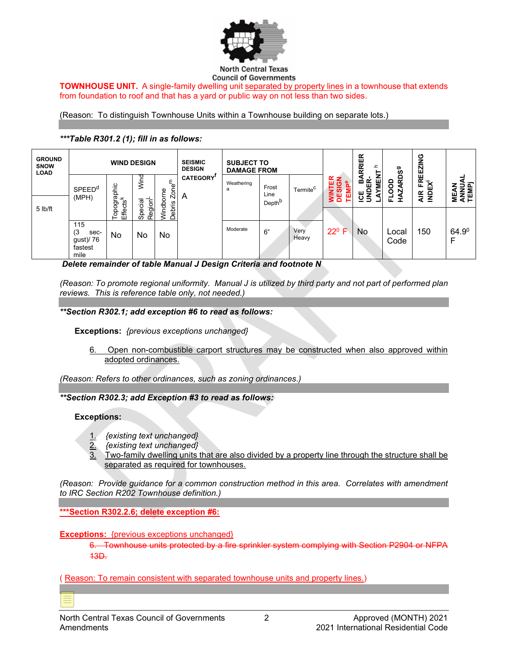

**TOWNHOUSE UNIT.** A single-family dwelling unit separated by property lines in a townhouse that extends from foundation to roof and that has a yard or public way on not less than two sides.

(Reason: To distinguish Townhouse Units within a Townhouse building on separate lots.)

#### *\*\*\*Table R301.2 (1); fill in as follows:*

| <b>GROUND</b><br><b>SNOW</b><br><b>LOAD</b> | <b>WIND DESIGN</b>                                |                                |                                |                             | <b>SEISMIC</b><br><b>DESIGN</b> | <b>SUBJECT TO</b><br><b>DAMAGE FROM</b> |                    |                      |                                 | <b>RIER</b><br>ᇰ                 | ರಾ                             | <b>FREEZING</b>                |                     |
|---------------------------------------------|---------------------------------------------------|--------------------------------|--------------------------------|-----------------------------|---------------------------------|-----------------------------------------|--------------------|----------------------|---------------------------------|----------------------------------|--------------------------------|--------------------------------|---------------------|
|                                             | <b>SPEED<sup>d</sup></b>                          | aphic                          | Wind                           | ε<br>Zone <sup>'</sup><br>Φ | <b>CATEGORY</b>                 | Weathering<br>a                         | Frost<br>Line      | Termite <sup>C</sup> | ጜ<br>TEM<br><b>NINT</b><br>DESI | <b>AYMEN</b><br>ICE BA<br>UNDER- | <b>RDS</b><br>≏<br>g<br>Ŋ<br>₫ | <b>NDEX<sup>1</sup></b><br>4IR | ANNUA<br>TEMPj<br>ш |
| $5$ lb/ft                                   | (MPH)                                             | ಿಕ್<br>ರ<br>opogr:<br>€fē<br>⊢ | Special<br>Region <sup>L</sup> | Vindborn<br>ebris<br>≏      | A                               |                                         | Depth <sup>b</sup> |                      |                                 |                                  | щ                              |                                | Σ                   |
|                                             | 115<br>(3<br>sec-<br>gust)/ 76<br>fastest<br>mile | No                             | No                             | No                          |                                 | Moderate                                | 6"                 | Very<br>Heavy        | $22^{\circ}$ F                  | No                               | Local<br>Code                  | 150                            | 64.90               |

*Delete remainder of table Manual J Design Criteria and footnote N*

*(Reason: To promote regional uniformity. Manual J is utilized by third party and not part of performed plan reviews. This is reference table only, not needed.)*

#### *\*\*Section R302.1; add exception #6 to read as follows:*

**Exceptions:** *{previous exceptions unchanged}*

6. Open non-combustible carport structures may be constructed when also approved within adopted ordinances.

*(Reason: Refers to other ordinances, such as zoning ordinances.)*

*\*\*Section R302.3; add Exception #3 to read as follows:*

#### **Exceptions:**

- 1. *{existing text unchanged}*
- 2. *{existing text unchanged}*
- 3. Two-family dwelling units that are also divided by a property line through the structure shall be separated as required for townhouses.

*(Reason: Provide guidance for a common construction method in this area. Correlates with amendment to IRC Section R202 Townhouse definition.)*

**\*\*\*Section R302.2.6; delete exception #6:**

**Exceptions:** {previous exceptions unchanged}

6. Townhouse units protected by a fire sprinkler system complying with Section P2904 13D.

( Reason: To remain consistent with separated townhouse units and property lines.)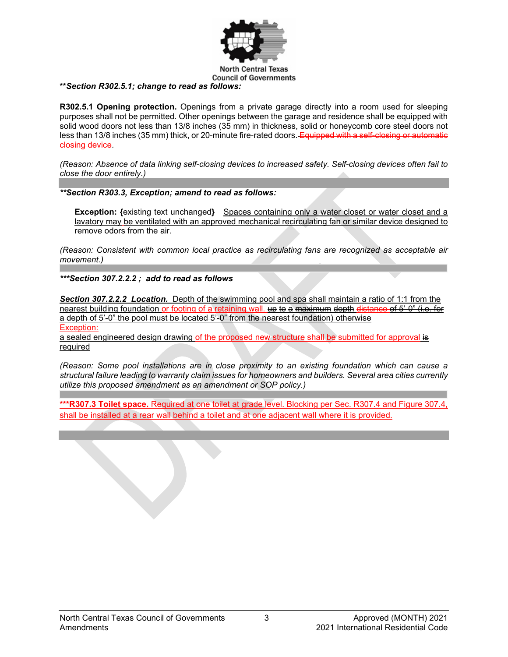

#### **\*\****Section R302.5.1; change to read as follows:*

**R302.5.1 Opening protection.** Openings from a private garage directly into a room used for sleeping purposes shall not be permitted. Other openings between the garage and residence shall be equipped with solid wood doors not less than 13/8 inches (35 mm) in thickness, solid or honeycomb core steel doors not less than 13/8 inches (35 mm) thick, or 20-minute fire-rated doors. Equipped with a self-closing or automatic closing device.

*(Reason: Absence of data linking self-closing devices to increased safety. Self-closing devices often fail to close the door entirely.)*

*\*\*Section R303.3, Exception; amend to read as follows:*

**Exception: {**existing text unchanged**}** Spaces containing only a water closet or water closet and a lavatory may be ventilated with an approved mechanical recirculating fan or similar device designed to remove odors from the air.

*(Reason: Consistent with common local practice as recirculating fans are recognized as acceptable air movement.)*

*\*\*\*Section 307.2.2.2 ; add to read as follows*

*Section 307.2.2.2 Location.* Depth of the swimming pool and spa shall maintain a ratio of 1:1 from the nearest building foundation or footing of a retaining wall. up to a maximum depth distance of 5'-0" (i.e. for a depth of 5'-0" the pool must be located 5'-0" from the nearest foundation) otherwise Exception:

a sealed engineered design drawing of the proposed new structure shall be submitted for approval is required

*(Reason: Some pool installations are in close proximity to an existing foundation which can cause a structural failure leading to warranty claim issues for homeowners and builders. Several area cities currently utilize this proposed amendment as an amendment or SOP policy.)*

**\*\*\*R307.3 Toilet space.** Required at one toilet at grade level. Blocking per Sec. R307.4 and Figure 307.4, shall be installed at a rear wall behind a toilet and at one adjacent wall where it is provided.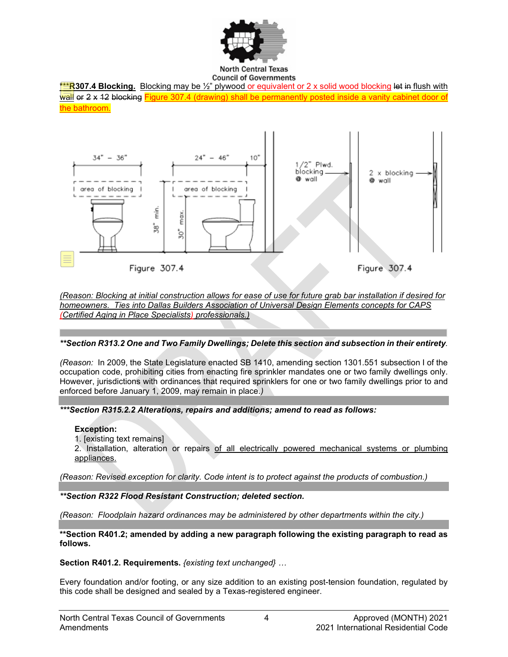

**North Central Texas Council of Governments** 





*(Reason: Blocking at initial construction allows for ease of use for future grab bar installation if desired for homeowners. Ties into Dallas Builders Association of Universal Design Elements concepts for CAPS (Certified Aging in Place Specialists) professionals.)*

## *\*\*Section R313.2 One and Two Family Dwellings; Delete this section and subsection in their entirety.*

*(Reason:* In 2009, the State Legislature enacted SB 1410, amending section 1301.551 subsection I of the occupation code, prohibiting cities from enacting fire sprinkler mandates one or two family dwellings only. However, jurisdictions with ordinances that required sprinklers for one or two family dwellings prior to and enforced before January 1, 2009, may remain in place.*)*

*\*\*\*Section R315.2.2 Alterations, repairs and additions; amend to read as follows:*

## **Exception:**

1. [existing text remains]

2. Installation, alteration or repairs of all electrically powered mechanical systems or plumbing appliances.

*(Reason: Revised exception for clarity. Code intent is to protect against the products of combustion.)*

*\*\*Section R322 Flood Resistant Construction; deleted section.*

*(Reason: Floodplain hazard ordinances may be administered by other departments within the city.)*

**\*\*Section R401.2; amended by adding a new paragraph following the existing paragraph to read as follows.** 

**Section R401.2. Requirements.** *{existing text unchanged} …*

Every foundation and/or footing, or any size addition to an existing post-tension foundation, regulated by this code shall be designed and sealed by a Texas-registered engineer.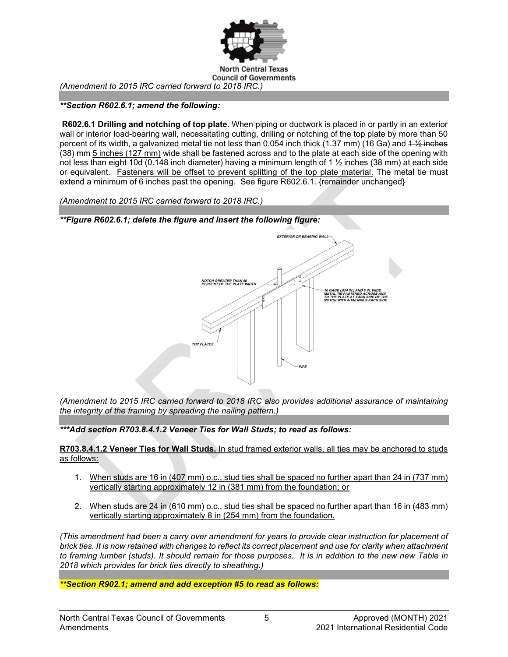

*(Amendment to 2015 IRC carried forward to 2018 IRC.)*

*\*\*Section R602.6.1; amend the following:*

**R602.6.1 Drilling and notching of top plate.** When piping or ductwork is placed in or partly in an exterior wall or interior load-bearing wall, necessitating cutting, drilling or notching of the top plate by more than 50 percent of its width, a galvanized metal tie not less than 0.054 inch thick  $(1.37 \text{ mm})$  (16 Ga) and  $1\frac{1}{2}$  inches (38) mm 5 inches (127 mm) wide shall be fastened across and to the plate at each side of the opening with not less than eight 10d (0.148 inch diameter) having a minimum length of 1 ½ inches (38 mm) at each side or equivalent. Fasteners will be offset to prevent splitting of the top plate material. The metal tie must extend a minimum of 6 inches past the opening. See figure R602.6.1. {remainder unchanged}

*(Amendment to 2015 IRC carried forward to 2018 IRC.)*



*(Amendment to 2015 IRC carried forward to 2018 IRC also provides additional assurance of maintaining the integrity of the framing by spreading the nailing pattern.)*

*\*\*\*Add section R703.8.4.1.2 Veneer Ties for Wall Studs; to read as follows:*

**R703.8.4.1.2 Veneer Ties for Wall Studs.** In stud framed exterior walls, all ties may be anchored to studs as follows:

- 1. When studs are 16 in (407 mm) o.c., stud ties shall be spaced no further apart than 24 in (737 mm) vertically starting approximately 12 in (381 mm) from the foundation; or
- 2. When studs are 24 in (610 mm) o.c., stud ties shall be spaced no further apart than 16 in (483 mm) vertically starting approximately 8 in (254 mm) from the foundation.

*(This amendment had been a carry over amendment for years to provide clear instruction for placement of brick ties. It is now retained with changes to reflect its correct placement and use for clarity when attachment to framing lumber (studs). It should remain for those purposes. It is in addition to the new new Table in 2018 which provides for brick ties directly to sheathing.)*

*\*\*Section R902.1; amend and add exception #5 to read as follows:*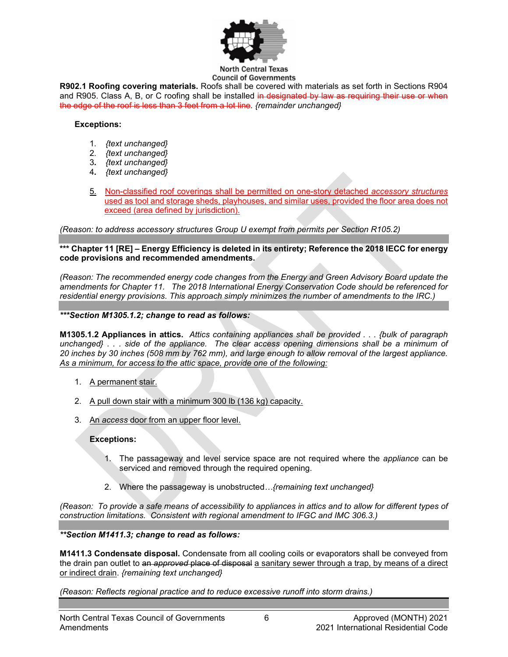

**North Central Texas Council of Governments** 

**R902.1 Roofing covering materials.** Roofs shall be covered with materials as set forth in Sections R904 and R905. Class A, B, or C roofing shall be installed in designated by law as requiring their use or when the edge of the roof is less than 3 feet from a lot line. *{remainder unchanged}*

#### **Exceptions:**

- 1. *{text unchanged}*
- 2. *{text unchanged}*
- 3**.** *{text unchanged}*
- 4**.** *{text unchanged}*
- 5. Non-classified roof coverings shall be permitted on one-story detached *accessory structures* used as tool and storage sheds, playhouses, and similar uses, provided the floor area does not exceed (area defined by jurisdiction).

*(Reason: to address accessory structures Group U exempt from permits per Section R105.2)*

**\*\*\* Chapter 11 [RE] – Energy Efficiency is deleted in its entirety; Reference the 2018 IECC for energy code provisions and recommended amendments.**

*(Reason: The recommended energy code changes from the Energy and Green Advisory Board update the amendments for Chapter 11. The 2018 International Energy Conservation Code should be referenced for residential energy provisions. This approach simply minimizes the number of amendments to the IRC.)*

#### *\*\*\*Section M1305.1.2; change to read as follows:*

**M1305.1.2 Appliances in attics.** *Attics containing appliances shall be provided . . . {bulk of paragraph unchanged} . . . side of the appliance. The clear access opening dimensions shall be a minimum of 20 inches by 30 inches (508 mm by 762 mm), and large enough to allow removal of the largest appliance. As a minimum, for access to the attic space, provide one of the following:*

- 1. A permanent stair.
- 2. A pull down stair with a minimum 300 lb (136 kg) capacity.
- 3. An *access* door from an upper floor level.

## **Exceptions:**

- 1. The passageway and level service space are not required where the *appliance* can be serviced and removed through the required opening.
- 2. Where the passageway is unobstructed*…{remaining text unchanged}*

*(Reason: To provide a safe means of accessibility to appliances in attics and to allow for different types of construction limitations. Consistent with regional amendment to IFGC and IMC 306.3.)*

*\*\*Section M1411.3; change to read as follows:* 

**M1411.3 Condensate disposal.** Condensate from all cooling coils or evaporators shall be conveyed from the drain pan outlet to an *approved* place of disposal a sanitary sewer through a trap, by means of a direct or indirect drain. *{remaining text unchanged}*

*(Reason: Reflects regional practice and to reduce excessive runoff into storm drains.)*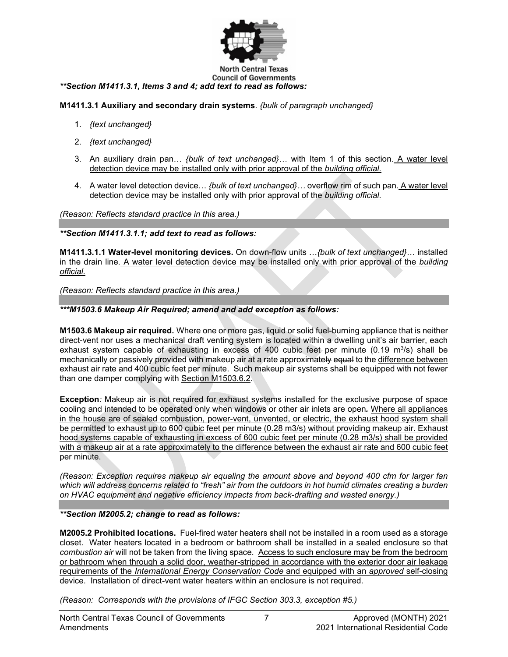

## *\*\*Section M1411.3.1, Items 3 and 4; add text to read as follows:*

## **M1411.3.1 Auxiliary and secondary drain systems**. *{bulk of paragraph unchanged}*

- 1. *{text unchanged}*
- 2. *{text unchanged}*
- 3. An auxiliary drain pan… *{bulk of text unchanged}…* with Item 1 of this section. A water level detection device may be installed only with prior approval of the *building official*.
- 4. A water level detection device… *{bulk of text unchanged}…* overflow rim of such pan. A water level detection device may be installed only with prior approval of the *building official*.

*(Reason: Reflects standard practice in this area.)*

#### *\*\*Section M1411.3.1.1; add text to read as follows:*

**M1411.3.1.1 Water-level monitoring devices.** On down-flow units …*{bulk of text unchanged}*… installed in the drain line. A water level detection device may be installed only with prior approval of the *building official.*

*(Reason: Reflects standard practice in this area.)*

#### *\*\*\*M1503.6 Makeup Air Required; amend and add exception as follows:*

**M1503.6 Makeup air required.** Where one or more gas, liquid or solid fuel-burning appliance that is neither direct-vent nor uses a mechanical draft venting system is located within a dwelling unit's air barrier, each exhaust system capable of exhausting in excess of 400 cubic feet per minute  $(0.19 \text{ m}^3/\text{s})$  shall be mechanically or passively provided with makeup air at a rate approximately equal to the difference between exhaust air rate and 400 cubic feet per minute. Such makeup air systems shall be equipped with not fewer than one damper complying with [Section M1503.6.2.](https://codes.iccsafe.org/premium/document/linkit/IRC2018_Pt05_Ch15_SecM1503.6.2/994/11681451/text-id-11681524)

**Exception***:* Makeup air is not required for exhaust systems installed for the exclusive purpose of space cooling and intended to be operated only when windows or other air inlets are open*.* Where all appliances in the house are of sealed combustion, power-vent, unvented, or electric, the exhaust hood system shall be permitted to exhaust up to 600 cubic feet per minute (0.28 m3/s) without providing makeup air. Exhaust hood systems capable of exhausting in excess of 600 cubic feet per minute (0.28 m3/s) shall be provided with a makeup air at a rate approximately to the difference between the exhaust air rate and 600 cubic feet per minute.

*(Reason: Exception requires makeup air equaling the amount above and beyond 400 cfm for larger fan*  which will address concerns related to "fresh" air from the outdoors in hot humid climates creating a burden *on HVAC equipment and negative efficiency impacts from back-drafting and wasted energy.)*

## *\*\*Section M2005.2; change to read as follows:*

**M2005.2 Prohibited locations.** Fuel-fired water heaters shall not be installed in a room used as a storage closet. Water heaters located in a bedroom or bathroom shall be installed in a sealed enclosure so that *combustion air* will not be taken from the living space. Access to such enclosure may be from the bedroom or bathroom when through a solid door, weather-stripped in accordance with the exterior door air leakage requirements of the *International Energy Conservation Code* and equipped with an *approved* self-closing device. Installation of direct-vent water heaters within an enclosure is not required.

*(Reason: Corresponds with the provisions of IFGC Section 303.3, exception #5.)*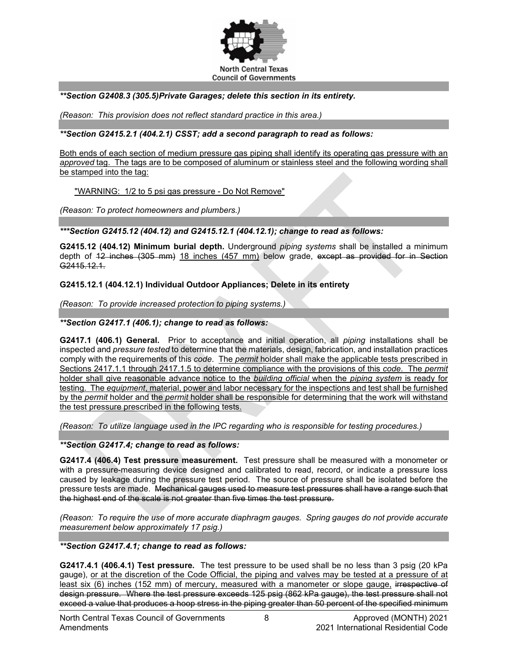

## *\*\*Section G2408.3 (305.5)Private Garages; delete this section in its entirety.*

*(Reason: This provision does not reflect standard practice in this area.)*

#### *\*\*Section G2415.2.1 (404.2.1) CSST; add a second paragraph to read as follows:*

Both ends of each section of medium pressure gas piping shall identify its operating gas pressure with an *approved* tag. The tags are to be composed of aluminum or stainless steel and the following wording shall be stamped into the tag:

"WARNING: 1/2 to 5 psi gas pressure - Do Not Remove"

*(Reason: To protect homeowners and plumbers.)*

#### *\*\*\*Section G2415.12 (404.12) and G2415.12.1 (404.12.1); change to read as follows:*

**G2415.12 (404.12) Minimum burial depth.** Underground *piping systems* shall be installed a minimum depth of 42 inches (305 mm) 18 inches (457 mm) below grade, except as provided for in Section G<sub>2415.12.1</sub>

## **G2415.12.1 (404.12.1) Individual Outdoor Appliances; Delete in its entirety**

*(Reason: To provide increased protection to piping systems.)*

#### *\*\*Section G2417.1 (406.1); change to read as follows:*

**G2417.1 (406.1) General.** Prior to acceptance and initial operation, all *piping* installations shall be inspected and *pressure tested* to determine that the materials, design, fabrication, and installation practices comply with the requirements of this *code*. The *permit* holder shall make the applicable tests prescribed in Sections 2417.1.1 through 2417.1.5 to determine compliance with the provisions of this *code*. The *permit* holder shall give reasonable advance notice to the *building official* when the *piping system* is ready for testing. The *equipment*, material, power and labor necessary for the inspections and test shall be furnished by the *permit* holder and the *permit* holder shall be responsible for determining that the work will withstand the test pressure prescribed in the following tests.

*(Reason: To utilize language used in the IPC regarding who is responsible for testing procedures.)*

*\*\*Section G2417.4; change to read as follows:* 

**G2417.4 (406.4) Test pressure measurement.** Test pressure shall be measured with a monometer or with a pressure-measuring device designed and calibrated to read, record, or indicate a pressure loss caused by leakage during the pressure test period. The source of pressure shall be isolated before the pressure tests are made. Mechanical gauges used to measure test pressures shall have a range such that the highest end of the scale is not greater than five times the test pressure.

*(Reason: To require the use of more accurate diaphragm gauges. Spring gauges do not provide accurate measurement below approximately 17 psig.)*

*\*\*Section G2417.4.1; change to read as follows:* 

**G2417.4.1 (406.4.1) Test pressure.** The test pressure to be used shall be no less than 3 psig (20 kPa gauge), or at the discretion of the Code Official, the piping and valves may be tested at a pressure of at least six (6) inches (152 mm) of mercury, measured with a manometer or slope gauge, irrespective of design pressure. Where the test pressure exceeds 125 psig (862 kPa gauge), the test pressure shall not exceed a value that produces a hoop stress in the piping greater than 50 percent of the specified minimum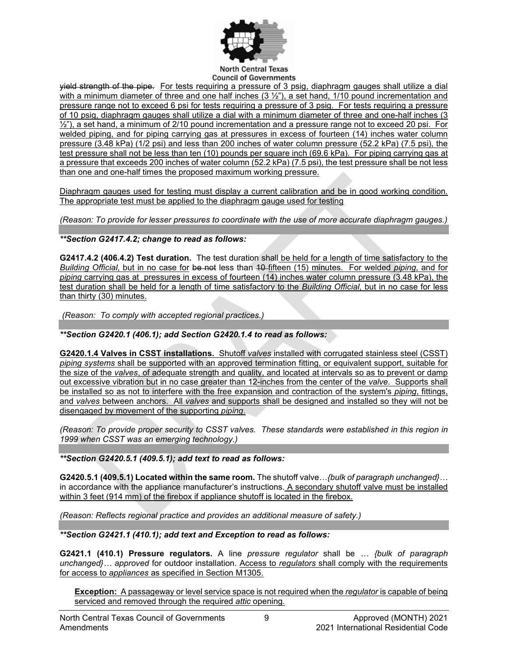

#### **North Central Texas Council of Governments**

yield strength of the pipe. For tests requiring a pressure of 3 psig, diaphragm gauges shall utilize a dial with a minimum diameter of three and one half inches  $(3 \frac{1}{2})$ , a set hand,  $1/10$  pound incrementation and pressure range not to exceed 6 psi for tests requiring a pressure of 3 psig. For tests requiring a pressure of 10 psig, diaphragm gauges shall utilize a dial with a minimum diameter of three and one-half inches (3  $\frac{1}{2}$ "), a set hand, a minimum of 2/10 pound incrementation and a pressure range not to exceed 20 psi. For welded piping, and for piping carrying gas at pressures in excess of fourteen (14) inches water column pressure (3.48 kPa) (1/2 psi) and less than 200 inches of water column pressure (52.2 kPa) (7.5 psi), the test pressure shall not be less than ten (10) pounds per square inch (69.6 kPa). For piping carrying gas at a pressure that exceeds 200 inches of water column (52.2 kPa) (7.5 psi), the test pressure shall be not less than one and one-half times the proposed maximum working pressure.

Diaphragm gauges used for testing must display a current calibration and be in good working condition. The appropriate test must be applied to the diaphragm gauge used for testing

*(Reason: To provide for lesser pressures to coordinate with the use of more accurate diaphragm gauges.)*

*\*\*Section G2417.4.2; change to read as follows:*

**G2417.4.2 (406.4.2) Test duration.** The test duration shall be held for a length of time satisfactory to the *Building Official*, but in no case for be not less than 10 fifteen (15) minutes. For welded *piping*, and for *piping* carrying gas at pressures in excess of fourteen (14) inches water column pressure (3.48 kPa), the test duration shall be held for a length of time satisfactory to the *Building Official*, but in no case for less than thirty (30) minutes.

*(Reason: To comply with accepted regional practices.)*

*\*\*Section G2420.1 (406.1); add Section G2420.1.4 to read as follows:* 

**G2420.1.4 Valves in CSST installations.** Shutoff *valves* installed with corrugated stainless steel (CSST) *piping systems* shall be supported with an approved termination fitting, or equivalent support, suitable for the size of the *valves*, of adequate strength and quality, and located at intervals so as to prevent or damp out excessive vibration but in no case greater than 12-inches from the center of the *valve*. Supports shall be installed so as not to interfere with the free expansion and contraction of the system's *piping*, fittings, and *valves* between anchors. All *valves* and supports shall be designed and installed so they will not be disengaged by movement of the supporting *piping*.

*(Reason: To provide proper security to CSST valves. These standards were established in this region in 1999 when CSST was an emerging technology.)*

*\*\*Section G2420.5.1 (409.5.1); add text to read as follows:* 

**G2420.5.1 (409.5.1) Located within the same room.** The shutoff valve…*{bulk of paragraph unchanged}…* in accordance with the appliance manufacturer's instructions. A secondary shutoff valve must be installed within 3 feet (914 mm) of the firebox if appliance shutoff is located in the firebox.

*(Reason: Reflects regional practice and provides an additional measure of safety.)*

*\*\*Section G2421.1 (410.1); add text and Exception to read as follows:* 

**G2421.1 (410.1) Pressure regulators.** A line *pressure regulator* shall be *… {bulk of paragraph unchanged}… approved* for outdoor installation. Access to *regulators* shall comply with the requirements for access to *appliances* as specified in Section M1305.

**Exception:** A passageway or level service space is not required when the *regulator* is capable of being serviced and removed through the required *attic* opening.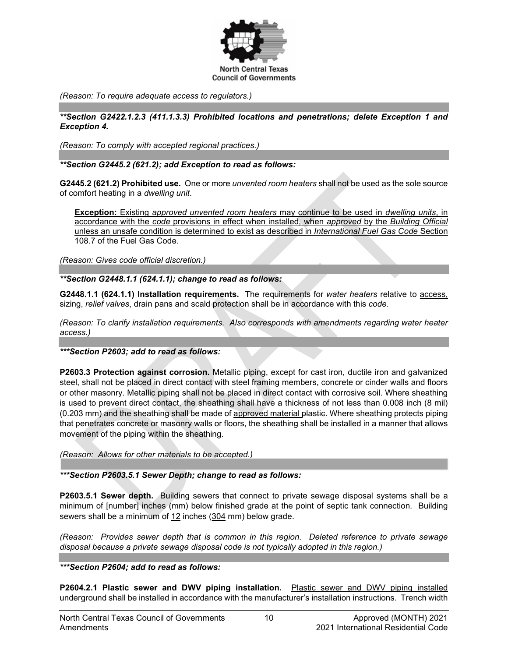

*(Reason: To require adequate access to regulators.)*

*\*\*Section G2422.1.2.3 (411.1.3.3) Prohibited locations and penetrations; delete Exception 1 and Exception 4.* 

*(Reason: To comply with accepted regional practices.)*

*\*\*Section G2445.2 (621.2); add Exception to read as follows:* 

**G2445.2 (621.2) Prohibited use.** One or more *unvented room heaters* shall not be used as the sole source of comfort heating in a *dwelling unit*.

**Exception:** Existing *approved unvented room heaters* may continue to be used in *dwelling units*, in accordance with the *code* provisions in effect when installed, when *approved* by the *Building Official* unless an unsafe condition is determined to exist as described in *International Fuel Gas Code* Section 108.7 of the Fuel Gas Code.

*(Reason: Gives code official discretion.)*

*\*\*Section G2448.1.1 (624.1.1); change to read as follows:* 

**G2448.1.1 (624.1.1) Installation requirements.** The requirements for *water heaters* relative to access, sizing, *relief valves*, drain pans and scald protection shall be in accordance with this *code.*

*(Reason: To clarify installation requirements. Also corresponds with amendments regarding water heater access.)*

*\*\*\*Section P2603; add to read as follows:*

**P2603.3 Protection against corrosion.** Metallic piping, except for cast iron, ductile iron and galvanized steel, shall not be placed in direct contact with steel framing members, concrete or cinder walls and floors or other masonry. Metallic piping shall not be placed in direct contact with corrosive soil. Where sheathing is used to prevent direct contact, the sheathing shall have a thickness of not less than 0.008 inch (8 mil) (0.203 mm) and the sheathing shall be made of approved material plastic. Where sheathing protects piping that penetrates concrete or masonry walls or floors, the sheathing shall be installed in a manner that allows movement of the piping within the sheathing.

*(Reason: Allows for other materials to be accepted.)*

*\*\*\*Section P2603.5.1 Sewer Depth; change to read as follows:*

**P2603.5.1 Sewer depth.** Building sewers that connect to private sewage disposal systems shall be a minimum of [number] inches (mm) below finished grade at the point of septic tank connection. Building sewers shall be a minimum of 12 inches (304 mm) below grade.

*(Reason: Provides sewer depth that is common in this region. Deleted reference to private sewage disposal because a private sewage disposal code is not typically adopted in this region.)*

*\*\*\*Section P2604; add to read as follows:* 

**P2604.2.1 Plastic sewer and DWV piping installation.** Plastic sewer and DWV piping installed underground shall be installed in accordance with the manufacturer's installation instructions. Trench width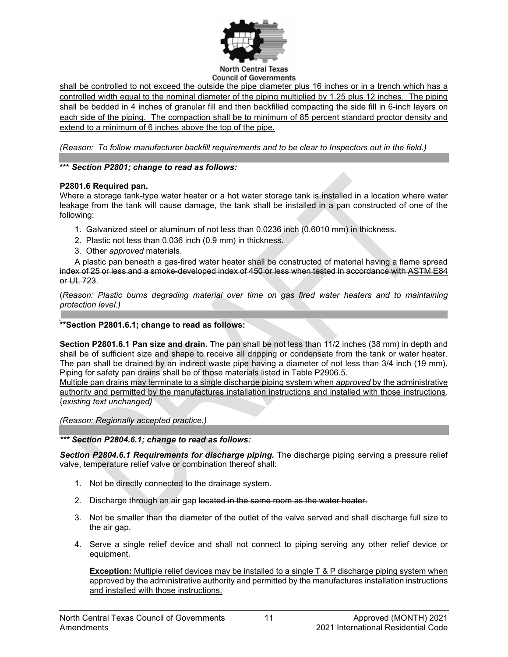

shall be controlled to not exceed the outside the pipe diameter plus 16 inches or in a trench which has a controlled width equal to the nominal diameter of the piping multiplied by 1.25 plus 12 inches. The piping shall be bedded in 4 inches of granular fill and then backfilled compacting the side fill in 6-inch layers on each side of the piping. The compaction shall be to minimum of 85 percent standard proctor density and extend to a minimum of 6 inches above the top of the pipe.

*(Reason: To follow manufacturer backfill requirements and to be clear to Inspectors out in the field.)*

## **\*\*\*** *Section P2801; change to read as follows:*

## **P2801.6 Required pan.**

Where a storage tank-type water heater or a hot water storage tank is installed in a location where water leakage from the tank will cause damage, the tank shall be installed in a pan constructed of one of the following:

- 1. Galvanized steel or aluminum of not less than 0.0236 inch (0.6010 mm) in thickness.
- 2. Plastic not less than 0.036 inch (0.9 mm) in thickness.
- 3. Other *approved* materials.

A plastic pan beneath a gas-fired water heater shall be constructed of material having a flame spread index of 25 or less and a smoke-developed index of 450 or less when tested in accordance with [ASTM E84](https://codes.iccsafe.org/premium/document/linkit/IRC2018_Pt09_Ch44_PromASTM_RefStdE84_2016/994/11696917/text-id-11696929) or [UL 723.](https://codes.iccsafe.org/premium/document/linkit/IRC2018_Pt09_Ch44_PromUL_RefStd723_08/994/11696917/text-id-11696929)

(*Reason: Plastic burns degrading material over time on gas fired water heaters and to maintaining protection level.)*

#### ] **\*\*Section P2801.6.1; change to read as follows:**

**Section P2801.6.1 Pan size and drain.** The pan shall be not less than 11/2 inches (38 mm) in depth and shall be of sufficient size and shape to receive all dripping or condensate from the tank or water heater. The pan shall be drained by an indirect waste pipe having a diameter of not less than 3/4 inch (19 mm). Piping for safety pan drains shall be of those materials listed in Table P2906.5.

Multiple pan drains may terminate to a single discharge piping system when *approved* by the administrative authority and permitted by the manufactures installation instructions and installed with those instructions. {*existing text unchanged}*

*(Reason: Regionally accepted practice.)*

*\*\*\* Section P2804.6.1; change to read as follows:*

*Section P2804.6.1 Requirements for discharge piping.* The discharge piping serving a pressure relief valve, temperature relief valve or combination thereof shall:

- 1. Not be directly connected to the drainage system.
- 2. Discharge through an air gap located in the same room as the water heater.
- 3. Not be smaller than the diameter of the outlet of the valve served and shall discharge full size to the air gap.
- 4. Serve a single relief device and shall not connect to piping serving any other relief device or equipment.

**Exception:** Multiple relief devices may be installed to a single T & P discharge piping system when approved by the administrative authority and permitted by the manufactures installation instructions and installed with those instructions.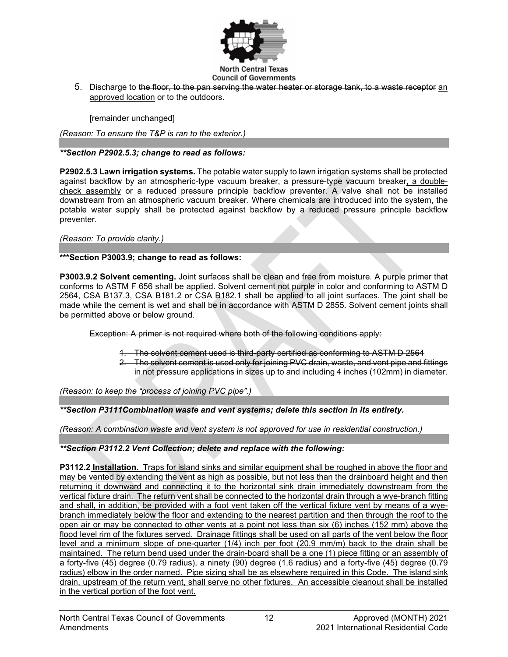

5. Discharge to the floor, to the pan serving the water heater or storage tank, to a waste receptor an approved location or to the outdoors.

[remainder unchanged]

*(Reason: To ensure the T&P is ran to the exterior.)* 

## *\*\*Section P2902.5.3; change to read as follows:*

**P2902.5.3 Lawn irrigation systems.** The potable water supply to lawn irrigation systems shall be protected against backflow by an atmospheric-type vacuum breaker, a pressure-type vacuum breaker, a doublecheck assembly or a reduced pressure principle backflow preventer. A valve shall not be installed downstream from an atmospheric vacuum breaker. Where chemicals are introduced into the system, the potable water supply shall be protected against backflow by a reduced pressure principle backflow preventer.

*(Reason: To provide clarity.)*

## **\*\*\*Section P3003.9; change to read as follows:**

**P3003.9.2 Solvent cementing.** Joint surfaces shall be clean and free from moisture. A purple primer that conforms to ASTM F 656 shall be applied. Solvent cement not purple in color and conforming to ASTM D 2564, CSA B137.3, CSA B181.2 or CSA B182.1 shall be applied to all joint surfaces. The joint shall be made while the cement is wet and shall be in accordance with ASTM D 2855. Solvent cement joints shall be permitted above or below ground.

Exception: A primer is not required where both of the following conditions apply:

- 1. The solvent cement used is third-party certified as conforming to ASTM D 2564
- 2. The solvent cement is used only for joining PVC drain, waste, and vent pipe and fittings in not pressure applications in sizes up to and including 4 inches (102mm) in diameter.

*(Reason: to keep the "process of joining PVC pipe".)*

*\*\*Section P3111Combination waste and vent systems; delete this section in its entirety.* 

*(Reason: A combination waste and vent system is not approved for use in residential construction.)* 

## *\*\*Section P3112.2 Vent Collection; delete and replace with the following:*

**P3112.2 Installation.** Traps for island sinks and similar equipment shall be roughed in above the floor and may be vented by extending the vent as high as possible, but not less than the drainboard height and then returning it downward and connecting it to the horizontal sink drain immediately downstream from the vertical fixture drain. The return vent shall be connected to the horizontal drain through a wye-branch fitting and shall, in addition, be provided with a foot vent taken off the vertical fixture vent by means of a wyebranch immediately below the floor and extending to the nearest partition and then through the roof to the open air or may be connected to other vents at a point not less than six (6) inches (152 mm) above the flood level rim of the fixtures served. Drainage fittings shall be used on all parts of the vent below the floor level and a minimum slope of one-quarter (1/4) inch per foot (20.9 mm/m) back to the drain shall be maintained. The return bend used under the drain-board shall be a one (1) piece fitting or an assembly of a forty-five (45) degree (0.79 radius), a ninety (90) degree (1.6 radius) and a forty-five (45) degree (0.79 radius) elbow in the order named. Pipe sizing shall be as elsewhere required in this Code. The island sink drain, upstream of the return vent, shall serve no other fixtures. An accessible cleanout shall be installed in the vertical portion of the foot vent.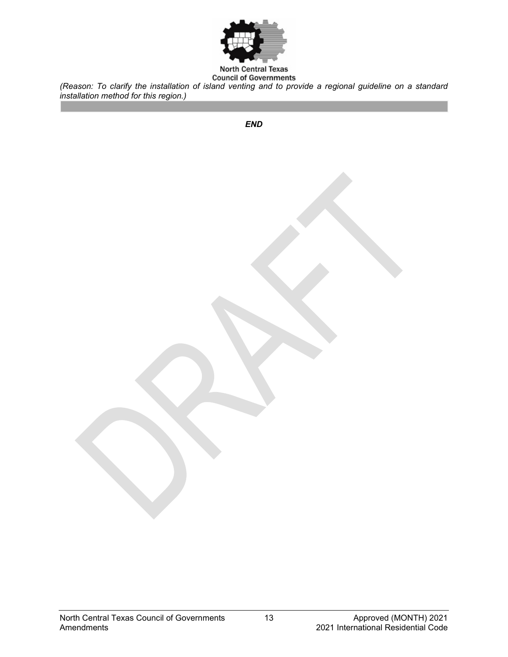

#### **North Central Texas Council of Governments**

*(Reason: To clarify the installation of island venting and to provide a regional guideline on a standard installation method for this region.)*

*END*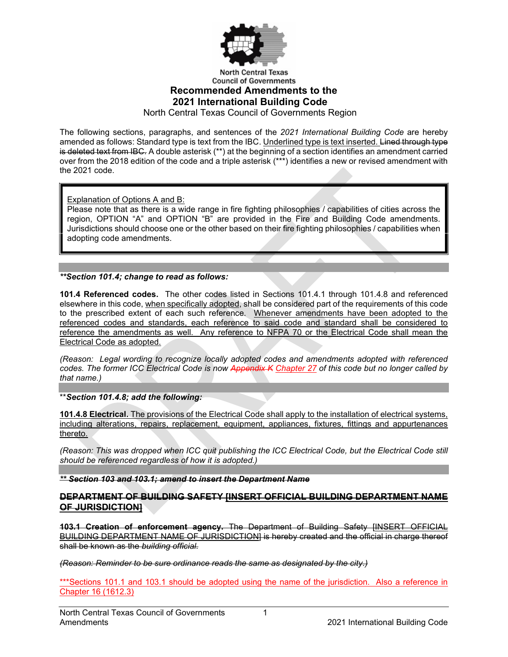

**North Central Texas Council of Governments Recommended Amendments to the 2021 International Building Code**

North Central Texas Council of Governments Region

The following sections, paragraphs, and sentences of the *2021 International Building Code* are hereby amended as follows: Standard type is text from the IBC. Underlined type is text inserted. Lined through type is deleted text from IBC. A double asterisk (\*\*) at the beginning of a section identifies an amendment carried over from the 2018 edition of the code and a triple asterisk (\*\*\*) identifies a new or revised amendment with the 2021 code.

Explanation of Options A and B:

Please note that as there is a wide range in fire fighting philosophies / capabilities of cities across the region, OPTION "A" and OPTION "B" are provided in the Fire and Building Code amendments. Jurisdictions should choose one or the other based on their fire fighting philosophies / capabilities when adopting code amendments.

*\*\*Section 101.4; change to read as follows:*

**101.4 Referenced codes.** The other codes listed in Sections 101.4.1 through 101.4.8 and referenced elsewhere in this code, when specifically adopted, shall be considered part of the requirements of this code to the prescribed extent of each such reference. Whenever amendments have been adopted to the referenced codes and standards, each reference to said code and standard shall be considered to reference the amendments as well. Any reference to NFPA 70 or the Electrical Code shall mean the Electrical Code as adopted.

*(Reason: Legal wording to recognize locally adopted codes and amendments adopted with referenced codes. The former ICC Electrical Code is now Appendix K Chapter 27 of this code but no longer called by that name.)*

\*\**Section 101.4.8; add the following:*

**101.4.8 Electrical.** The provisions of the Electrical Code shall apply to the installation of electrical systems, including alterations, repairs, replacement, equipment, appliances, fixtures, fittings and appurtenances thereto.

*(Reason: This was dropped when ICC quit publishing the ICC Electrical Code, but the Electrical Code still should be referenced regardless of how it is adopted.)*

*\*\* Section 103 and 103.1; amend to insert the Department Name*

## **DEPARTMENT OF BUILDING SAFETY [INSERT OFFICIAL BUILDING DEPARTMENT NAME OF JURISDICTION]**

**103.1 Creation of enforcement agency.** The Department of Building Safety [INSERT OFFICIAL BUILDING DEPARTMENT NAME OF JURISDICTION] is hereby created and the official in charge thereof shall be known as the *building official*.

*(Reason: Reminder to be sure ordinance reads the same as designated by the city.)*

\*\*\*Sections 101.1 and 103.1 should be adopted using the name of the jurisdiction. Also a reference in Chapter 16 (1612.3)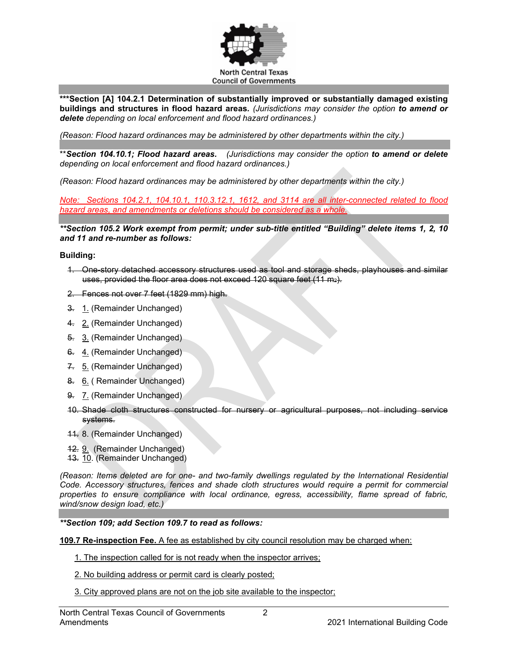

**\*\*\*Section [A] 104.2.1 Determination of substantially improved or substantially damaged existing buildings and structures in flood hazard areas***. (Jurisdictions may consider the option to amend or delete depending on local enforcement and flood hazard ordinances.)*

*(Reason: Flood hazard ordinances may be administered by other departments within the city.)*

\*\**Section 104.10.1; Flood hazard areas. (Jurisdictions may consider the option to amend or delete depending on local enforcement and flood hazard ordinances.)*

*(Reason: Flood hazard ordinances may be administered by other departments within the city.)*

*Note: Sections 104.2.1, 104.10.1, 110.3.12.1, 1612, and 3114 are all inter-connected related to flood hazard areas, and amendments or deletions should be considered as a whole.*

*\*\*Section 105.2 Work exempt from permit; under sub-title entitled "Building" delete items 1, 2, 10 and 11 and re-number as follows:*

#### **Building:**

- 1. One-story detached accessory structures used as tool and storage sheds, playhouses and similar uses, provided the floor area does not exceed 120 square feet  $(11 \text{ m}_2)$ .
- 2. Fences not over 7 feet (1829 mm) high.
- 3. 1. (Remainder Unchanged)
- 4. 2. (Remainder Unchanged)
- 5. 3. (Remainder Unchanged)
- 6. 4. (Remainder Unchanged)
- 7. 5. (Remainder Unchanged)
- 8. 6. ( Remainder Unchanged)
- 9. 7. (Remainder Unchanged)
- 10. Shade cloth structures constructed for nursery or agricultural purposes, not including service systems.
- 11. 8. (Remainder Unchanged)
- 12. 9. (Remainder Unchanged)
- 13. 10. (Remainder Unchanged)

*(Reason: Items deleted are for one- and two-family dwellings regulated by the International Residential Code. Accessory structures, fences and shade cloth structures would require a permit for commercial properties to ensure compliance with local ordinance, egress, accessibility, flame spread of fabric, wind/snow design load, etc.)*

*\*\*Section 109; add Section 109.7 to read as follows:*

**109.7 Re-inspection Fee.** A fee as established by city council resolution may be charged when:

- 1. The inspection called for is not ready when the inspector arrives;
- 2. No building address or permit card is clearly posted;
- 3. City approved plans are not on the job site available to the inspector;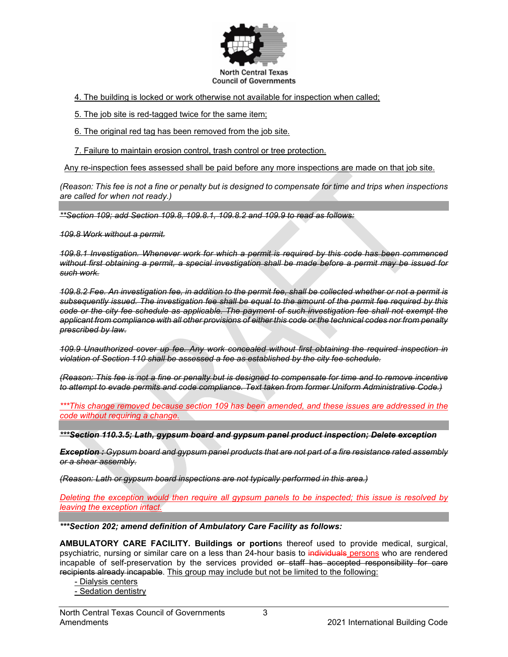

4. The building is locked or work otherwise not available for inspection when called;

5. The job site is red-tagged twice for the same item;

6. The original red tag has been removed from the job site.

7. Failure to maintain erosion control, trash control or tree protection.

Any re-inspection fees assessed shall be paid before any more inspections are made on that job site.

*(Reason: This fee is not a fine or penalty but is designed to compensate for time and trips when inspections are called for when not ready.)* 

*\*\*Section 109; add Section 109.8, 109.8.1, 109.8.2 and 109.9 to read as follows:*

*109.8 Work without a permit.*

*109.8.1 Investigation. Whenever work for which a permit is required by this code has been commenced without first obtaining a permit, a special investigation shall be made before a permit may be issued for such work.*

*109.8.2 Fee. An investigation fee, in addition to the permit fee, shall be collected whether or not a permit is subsequently issued. The investigation fee shall be equal to the amount of the permit fee required by this code or the city fee schedule as applicable. The payment of such investigation fee shall not exempt the applicant from compliance with all other provisions of either this code or the technical codes nor from penalty prescribed by law.*

*109.9 Unauthorized cover up fee. Any work concealed without first obtaining the required inspection in violation of Section 110 shall be assessed a fee as established by the city fee schedule.* 

*(Reason: This fee is not a fine or penalty but is designed to compensate for time and to remove incentive to attempt to evade permits and code compliance. Text taken from former Uniform Administrative Code.)*

*\*\*\*This change removed because section 109 has been amended, and these issues are addressed in the code without requiring a change.*

*\*\*\*Section 110.3.5; Lath, gypsum board and gypsum panel product inspection; Delete exception*

*Exception : Gypsum board and gypsum panel products that are not part of a fire resistance rated assembly or a shear assembly.*

*(Reason: Lath or gypsum board inspections are not typically performed in this area.)*

*Deleting the exception would then require all gypsum panels to be inspected; this issue is resolved by leaving the exception intact.*

*\*\*\*Section 202; amend definition of Ambulatory Care Facility as follows:*

**AMBULATORY CARE FACILITY. Buildings or portion**s thereof used to provide medical, surgical, psychiatric, nursing or similar care on a less than 24-hour basis to individuals persons who are rendered incapable of self-preservation by the services provided or staff has accepted responsibility for care recipients already incapable. This group may include but not be limited to the following:

- Dialysis centers

- Sedation dentistry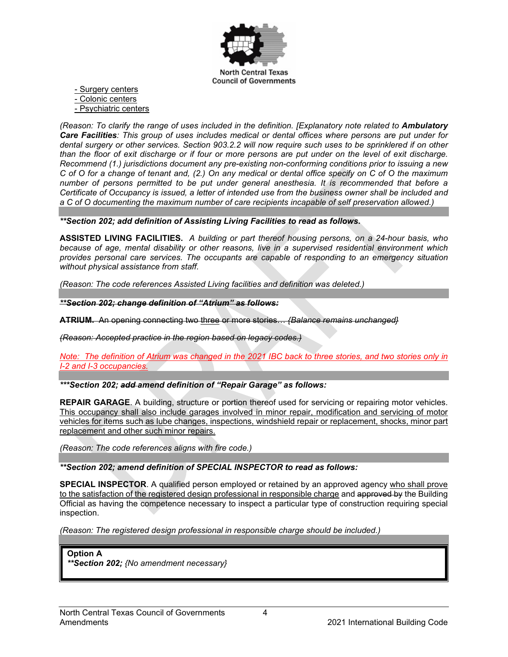

- Surgery centers

- Colonic centers

- Psychiatric centers

*(Reason: To clarify the range of uses included in the definition. [Explanatory note related to Ambulatory Care Facilities: This group of uses includes medical or dental offices where persons are put under for dental surgery or other services. Section 903.2.2 will now require such uses to be sprinklered if on other than the floor of exit discharge or if four or more persons are put under on the level of exit discharge. Recommend (1.) jurisdictions document any pre-existing non-conforming conditions prior to issuing a new C of O for a change of tenant and, (2.) On any medical or dental office specify on C of O the maximum number of persons permitted to be put under general anesthesia. It is recommended that before a Certificate of Occupancy is issued, a letter of intended use from the business owner shall be included and a C of O documenting the maximum number of care recipients incapable of self preservation allowed.)*

*\*\*Section 202; add definition of Assisting Living Facilities to read as follows.*

**ASSISTED LIVING FACILITIES.** *A building or part thereof housing persons, on a 24-hour basis, who because of age, mental disability or other reasons, live in a supervised residential environment which provides personal care services. The occupants are capable of responding to an emergency situation without physical assistance from staff.*

*(Reason: The code references Assisted Living facilities and definition was deleted.)* 

*\*\*Section 202; change definition of "Atrium" as follows:*

**ATRIUM.** An opening connecting two three or more stories… *{Balance remains unchanged}*

*(Reason: Accepted practice in the region based on legacy codes.)*

*Note: The definition of Atrium was changed in the 2021 IBC back to three stories, and two stories only in I-2 and I-3 occupancies.*

*\*\*\*Section 202; add amend definition of "Repair Garage" as follows:*

**REPAIR GARAGE.** A building, structure or portion thereof used for servicing or repairing motor vehicles. This occupancy shall also include garages involved in minor repair, modification and servicing of motor vehicles for items such as lube changes, inspections, windshield repair or replacement, shocks, minor part replacement and other such minor repairs.

*(Reason: The code references aligns with fire code.)* 

*\*\*Section 202; amend definition of SPECIAL INSPECTOR to read as follows:*

**SPECIAL INSPECTOR**. A qualified person employed or retained by an approved agency who shall prove to the satisfaction of the registered design professional in responsible charge and approved by the Building Official as having the competence necessary to inspect a particular type of construction requiring special inspection.

*(Reason: The registered design professional in responsible charge should be included.)* 

**Option A**

*\*\*Section 202; {No amendment necessary}*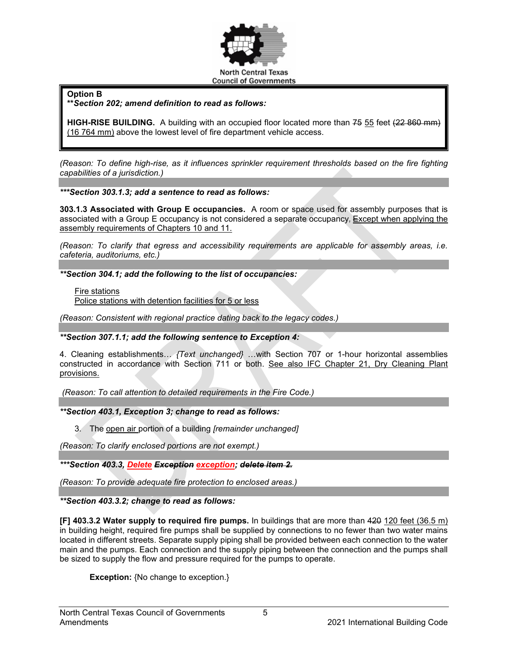

**Option B**

**\*\****Section 202; amend definition to read as follows:*

**HIGH-RISE BUILDING.** A building with an occupied floor located more than 75 55 feet (22 860 mm) (16 764 mm) above the lowest level of fire department vehicle access.

*(Reason: To define high-rise, as it influences sprinkler requirement thresholds based on the fire fighting capabilities of a jurisdiction.)*

*\*\*\*Section 303.1.3; add a sentence to read as follows:*

**303.1.3 Associated with Group E occupancies.** A room or space used for assembly purposes that is associated with a Group E occupancy is not considered a separate occupancy, Except when applying the assembly requirements of Chapters 10 and 11.

*(Reason: To clarify that egress and accessibility requirements are applicable for assembly areas, i.e. cafeteria, auditoriums, etc.)*

*\*\*Section 304.1; add the following to the list of occupancies:*

Fire stations Police stations with detention facilities for 5 or less

*(Reason: Consistent with regional practice dating back to the legacy codes.)*

*\*\*Section 307.1.1; add the following sentence to Exception 4:*

4. Cleaning establishments… *{Text unchanged}* …with Section 707 or 1-hour horizontal assemblies constructed in accordance with Section 711 or both. See also IFC Chapter 21, Dry Cleaning Plant provisions.

*(Reason: To call attention to detailed requirements in the Fire Code.)*

*\*\*Section 403.1, Exception 3; change to read as follows:*

3. The open air portion of a building *[remainder unchanged]*

*(Reason: To clarify enclosed portions are not exempt.)*

*\*\*\*Section 403.3, Delete Exception exception; delete item 2.*

*(Reason: To provide adequate fire protection to enclosed areas.)*

*\*\*Section 403.3.2; change to read as follows:*

**[F] 403.3.2 Water supply to required fire pumps.** In buildings that are more than 420 120 feet (36.5 m) in building height, required fire pumps shall be supplied by connections to no fewer than two water mains located in different streets. Separate supply piping shall be provided between each connection to the water main and the pumps. Each connection and the supply piping between the connection and the pumps shall be sized to supply the flow and pressure required for the pumps to operate.

**Exception:** {No change to exception.}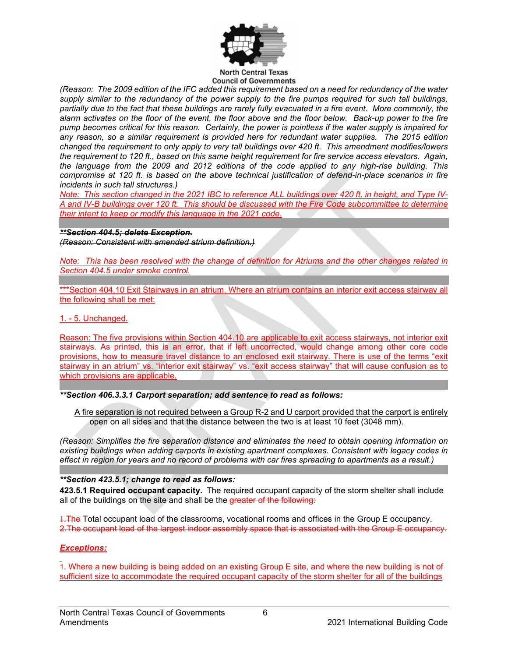

*(Reason: The 2009 edition of the IFC added this requirement based on a need for redundancy of the water supply similar to the redundancy of the power supply to the fire pumps required for such tall buildings, partially due to the fact that these buildings are rarely fully evacuated in a fire event. More commonly, the alarm activates on the floor of the event, the floor above and the floor below. Back-up power to the fire pump becomes critical for this reason. Certainly, the power is pointless if the water supply is impaired for any reason, so a similar requirement is provided here for redundant water supplies. The 2015 edition changed the requirement to only apply to very tall buildings over 420 ft. This amendment modifies/lowers the requirement to 120 ft., based on this same height requirement for fire service access elevators. Again, the language from the 2009 and 2012 editions of the code applied to any high-rise building. This compromise at 120 ft. is based on the above technical justification of defend-in-place scenarios in fire incidents in such tall structures.)*

*Note: This section changed in the 2021 IBC to reference ALL buildings over 420 ft. in height, and Type IV-A and IV-B buildings over 120 ft. This should be discussed with the Fire Code subcommittee to determine their intent to keep or modify this language in the 2021 code.*

#### *\*\*Section 404.5; delete Exception.*

*(Reason: Consistent with amended atrium definition.)*

*Note: This has been resolved with the change of definition for Atriums and the other changes related in Section 404.5 under smoke control.*

\*\*\*Section 404.10 Exit Stairways in an atrium. Where an atrium contains an interior exit access stairway all the following shall be met:

#### 1. - 5. Unchanged.

Reason: The five provisions within Section 404.10 are applicable to exit access stairways, not interior exit stairways. As printed, this is an error, that if left uncorrected, would change among other core code provisions, how to measure travel distance to an enclosed exit stairway. There is use of the terms "exit stairway in an atrium" vs. "interior exit stairway" vs. "exit access stairway" that will cause confusion as to which provisions are applicable.

*\*\*Section 406.3.3.1 Carport separation; add sentence to read as follows:*

A fire separation is not required between a Group R-2 and U carport provided that the carport is entirely open on all sides and that the distance between the two is at least 10 feet (3048 mm).

*(Reason: Simplifies the fire separation distance and eliminates the need to obtain opening information on existing buildings when adding carports in existing apartment complexes. Consistent with legacy codes in effect in region for years and no record of problems with car fires spreading to apartments as a result.)*

## *\*\*Section 423.5.1; change to read as follows:*

**423.5.1 Required occupant capacity.** The required occupant capacity of the storm shelter shall include all of the buildings on the site and shall be the greater of the following:

1. The Total occupant load of the classrooms, vocational rooms and offices in the Group E occupancy. 2.The occupant load of the largest indoor assembly space that is associated with the Group E occupancy.

## *Exceptions:*

1. Where a new building is being added on an existing Group E site, and where the new building is not of sufficient size to accommodate the required occupant capacity of the storm shelter for all of the buildings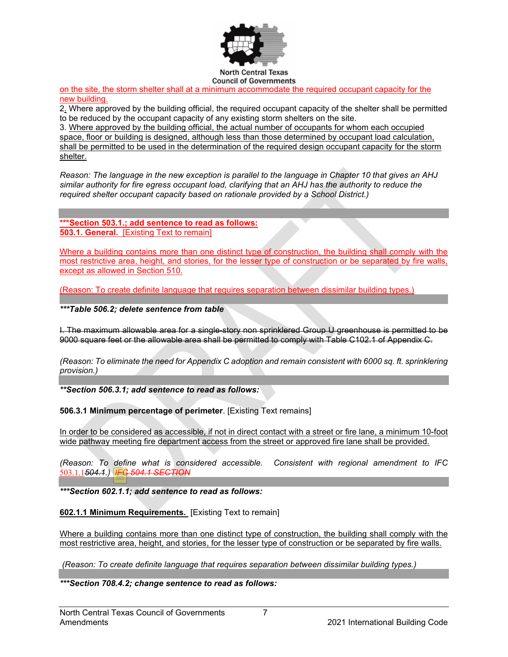

on the site, the storm shelter shall at a minimum accommodate the required occupant capacity for the new building.

2. Where approved by the building official, the required occupant capacity of the shelter shall be permitted to be reduced by the occupant capacity of any existing storm shelters on the site.

3. Where approved by the building official, the actual number of occupants for whom each occupied space, floor or building is designed, although less than those determined by occupant load calculation, shall be permitted to be used in the determination of the required design occupant capacity for the storm shelter.

*Reason: The language in the new exception is parallel to the language in Chapter 10 that gives an AHJ similar authority for fire egress occupant load, clarifying that an AHJ has the authority to reduce the required shelter occupant capacity based on rationale provided by a School District.)*

**\*\*\*Section 503.1.; add sentence to read as follows: 503.1. General.** [Existing Text to remain]

Where a building contains more than one distinct type of construction, the building shall comply with the most restrictive area, height, and stories, for the lesser type of construction or be separated by fire walls, except as allowed in Section 510.

(Reason: To create definite language that requires separation between dissimilar building types.)

*\*\*\*Table 506.2; delete sentence from table*

I. The maximum allowable area for a single-story non sprinklered Group U greenhouse is permitted to be 9000 square feet or the allowable area shall be permitted to comply with Table C102.1 of Appendix C.

*(Reason: To eliminate the need for Appendix C adoption and remain consistent with 6000 sq. ft. sprinklering provision.)*

*\*\*Section 506.3.1; add sentence to read as follows:*

**506.3.1 Minimum percentage of perimeter**. [Existing Text remains]

In order to be considered as accessible, if not in direct contact with a street or fire lane, a minimum 10-foot wide pathway meeting fire department access from the street or approved fire lane shall be provided.

*(Reason: To define what is considered accessible. Consistent with regional amendment to IFC*  503.1.1*504.1.) IFC 504.1 SECTION*

*\*\*\*Section 602.1.1; add sentence to read as follows:*

**602.1.1 Minimum Requirements.** [Existing Text to remain]

Where a building contains more than one distinct type of construction, the building shall comply with the most restrictive area, height, and stories, for the lesser type of construction or be separated by fire walls.

*(Reason: To create definite language that requires separation between dissimilar building types.)*

*\*\*\*Section 708.4.2; change sentence to read as follows:*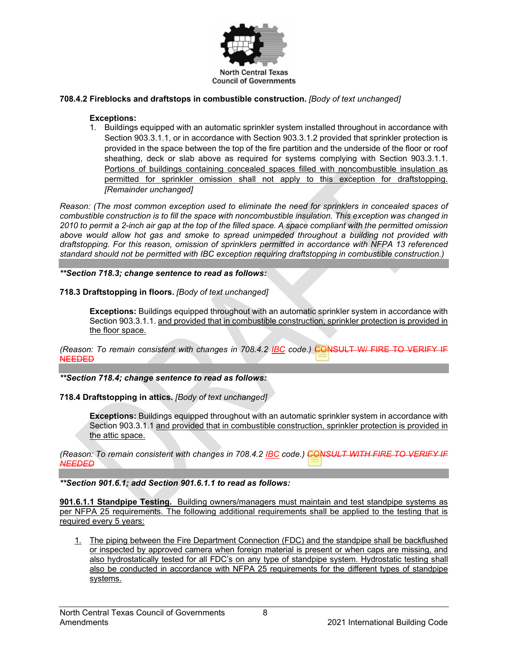

## **708.4.2 Fireblocks and draftstops in combustible construction.** *[Body of text unchanged]*

## **Exceptions:**

1. Buildings equipped with an automatic sprinkler system installed throughout in accordance with Section 903.3.1.1, or in accordance with Section 903.3.1.2 provided that sprinkler protection is provided in the space between the top of the fire partition and the underside of the floor or roof sheathing, deck or slab above as required for systems complying with Section 903.3.1.1. Portions of buildings containing concealed spaces filled with noncombustible insulation as permitted for sprinkler omission shall not apply to this exception for draftstopping. *[Remainder unchanged]*

*Reason: (The most common exception used to eliminate the need for sprinklers in concealed spaces of combustible construction is to fill the space with noncombustible insulation. This exception was changed in 2010 to permit a 2-inch air gap at the top of the filled space. A space compliant with the permitted omission above would allow hot gas and smoke to spread unimpeded throughout a building not provided with draftstopping. For this reason, omission of sprinklers permitted in accordance with NFPA 13 referenced standard should not be permitted with IBC exception requiring draftstopping in combustible construction.)*

## *\*\*Section 718.3; change sentence to read as follows:*

## **718.3 Draftstopping in floors.** *[Body of text unchanged]*

**Exceptions:** Buildings equipped throughout with an automatic sprinkler system in accordance with Section 903.3.1.1. and provided that in combustible construction, sprinkler protection is provided in the floor space.

*(Reason: To remain consistent with changes in 708.4.2 IBC code.)* CONSULT W/ FIRE TO VERIFY IF NEEDED

*\*\*Section 718.4; change sentence to read as follows:*

## **718.4 Draftstopping in attics.** *[Body of text unchanged]*

**Exceptions:** Buildings equipped throughout with an automatic sprinkler system in accordance with Section 903.3.1.1 and provided that in combustible construction, sprinkler protection is provided in the attic space.

*(Reason: To remain consistent with changes in 708.4.2 IBC code.) CONSULT WITH FIRE TO VERIFY IF NEEDED*

*\*\*Section 901.6.1; add Section 901.6.1.1 to read as follows:*

**901.6.1.1 Standpipe Testing.** Building owners/managers must maintain and test standpipe systems as per NFPA 25 requirements. The following additional requirements shall be applied to the testing that is required every 5 years:

1. The piping between the Fire Department Connection (FDC) and the standpipe shall be backflushed or inspected by approved camera when foreign material is present or when caps are missing, and also hydrostatically tested for all FDC's on any type of standpipe system. Hydrostatic testing shall also be conducted in accordance with NFPA 25 requirements for the different types of standpipe systems.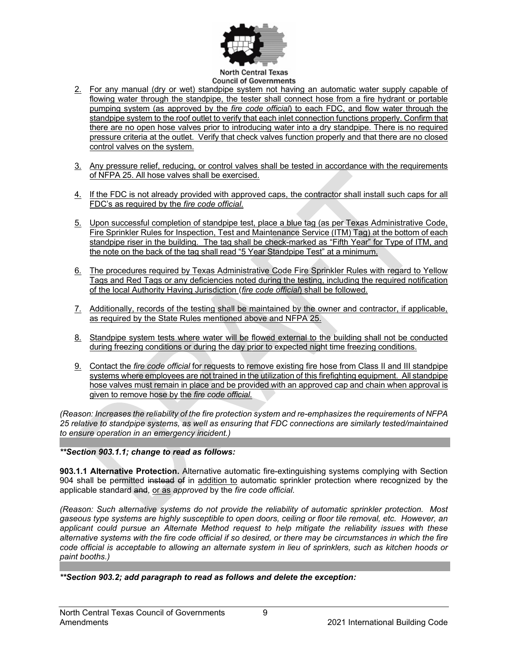

- 2. For any manual (dry or wet) standpipe system not having an automatic water supply capable of flowing water through the standpipe, the tester shall connect hose from a fire hydrant or portable pumping system (as approved by the *fire code official*) to each FDC, and flow water through the standpipe system to the roof outlet to verify that each inlet connection functions properly. Confirm that there are no open hose valves prior to introducing water into a dry standpipe. There is no required pressure criteria at the outlet. Verify that check valves function properly and that there are no closed control valves on the system.
- 3. Any pressure relief, reducing, or control valves shall be tested in accordance with the requirements of NFPA 25. All hose valves shall be exercised.
- 4. If the FDC is not already provided with approved caps, the contractor shall install such caps for all FDC's as required by the *fire code official*.
- 5. Upon successful completion of standpipe test, place a blue tag (as per Texas Administrative Code, Fire Sprinkler Rules for Inspection, Test and Maintenance Service (ITM) Tag) at the bottom of each standpipe riser in the building. The tag shall be check-marked as "Fifth Year" for Type of ITM, and the note on the back of the tag shall read "5 Year Standpipe Test" at a minimum.
- 6. The procedures required by Texas Administrative Code Fire Sprinkler Rules with regard to Yellow Tags and Red Tags or any deficiencies noted during the testing, including the required notification of the local Authority Having Jurisdiction (*fire code official*) shall be followed.
- 7. Additionally, records of the testing shall be maintained by the owner and contractor, if applicable, as required by the State Rules mentioned above and NFPA 25.
- 8. Standpipe system tests where water will be flowed external to the building shall not be conducted during freezing conditions or during the day prior to expected night time freezing conditions.
- 9. Contact the *fire code official* for requests to remove existing fire hose from Class II and III standpipe systems where employees are not trained in the utilization of this firefighting equipment. All standpipe hose valves must remain in place and be provided with an approved cap and chain when approval is given to remove hose by the *fire code official*.

*(Reason: Increases the reliability of the fire protection system and re-emphasizes the requirements of NFPA 25 relative to standpipe systems, as well as ensuring that FDC connections are similarly tested/maintained to ensure operation in an emergency incident.)*

## *\*\*Section 903.1.1; change to read as follows:*

**903.1.1 Alternative Protection.** Alternative automatic fire-extinguishing systems complying with Section 904 shall be permitted instead of in addition to automatic sprinkler protection where recognized by the applicable standard and, or as *approved* by the *fire code official*.

*(Reason: Such alternative systems do not provide the reliability of automatic sprinkler protection. Most gaseous type systems are highly susceptible to open doors, ceiling or floor tile removal, etc. However, an applicant could pursue an Alternate Method request to help mitigate the reliability issues with these alternative systems with the fire code official if so desired, or there may be circumstances in which the fire code official is acceptable to allowing an alternate system in lieu of sprinklers, such as kitchen hoods or paint booths.)*

*\*\*Section 903.2; add paragraph to read as follows and delete the exception:*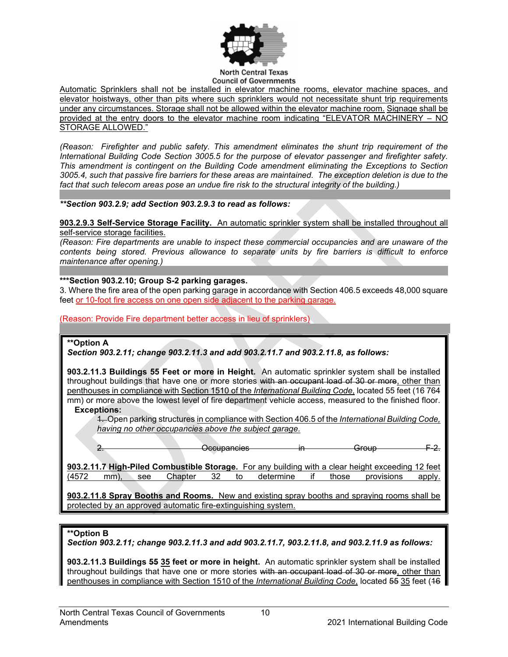

Automatic Sprinklers shall not be installed in elevator machine rooms, elevator machine spaces, and elevator hoistways, other than pits where such sprinklers would not necessitate shunt trip requirements under any circumstances. Storage shall not be allowed within the elevator machine room. Signage shall be provided at the entry doors to the elevator machine room indicating "ELEVATOR MACHINERY – NO STORAGE ALLOWED."

*(Reason: Firefighter and public safety. This amendment eliminates the shunt trip requirement of the International Building Code Section 3005.5 for the purpose of elevator passenger and firefighter safety. This amendment is contingent on the Building Code amendment eliminating the Exceptions to Section 3005.4, such that passive fire barriers for these areas are maintained. The exception deletion is due to the fact that such telecom areas pose an undue fire risk to the structural integrity of the building.)*

*\*\*Section 903.2.9; add Section 903.2.9.3 to read as follows:*

**903.2.9.3 Self-Service Storage Facility.** An automatic sprinkler system shall be installed throughout all self-service storage facilities.

*(Reason: Fire departments are unable to inspect these commercial occupancies and are unaware of the contents being stored. Previous allowance to separate units by fire barriers is difficult to enforce maintenance after opening.)*

#### **\*\*\*Section 903.2.10; Group S-2 parking garages.**

3. Where the fire area of the open parking garage in accordance with Section 406.5 exceeds 48,000 square feet or 10-foot fire access on one open side adjacent to the parking garage.

(Reason: Provide Fire department better access in lieu of sprinklers)

## **\*\*Option A**

*Section 903.2.11; change 903.2.11.3 and add 903.2.11.7 and 903.2.11.8, as follows:*

**903.2.11.3 Buildings 55 Feet or more in Height.** An automatic sprinkler system shall be installed throughout buildings that have one or more stories with an occupant load of 30 or more, other than penthouses in compliance with Section 1510 of the *International Building Code*, located 55 feet (16 764 mm) or more above the lowest level of fire department vehicle access, measured to the finished floor.

#### **Exceptions:**

1. Open parking structures in compliance with Section 406.5 of the *International Building Code, having no other occupancies above the subject garage.*

2. Cocupancies in Group

**903.2.11.7 High-Piled Combustible Storage.** For any building with a clear height exceeding 12 feet (4572 mm), see Chapter 32 to determine if those provisions apply. (4572 mm), see Chapter 32 to determine if those provisions apply.

**903.2.11.8 Spray Booths and Rooms.** New and existing spray booths and spraying rooms shall be protected by an approved automatic fire-extinguishing system.

#### **\*\*Option B**

*Section 903.2.11; change 903.2.11.3 and add 903.2.11.7, 903.2.11.8, and 903.2.11.9 as follows:*

**903.2.11.3 Buildings 55 35 feet or more in height.** An automatic sprinkler system shall be installed throughout buildings that have one or more stories with an occupant load of 30 or more, other than penthouses in compliance with Section 1510 of the *International Building Code*, located 55 35 feet (16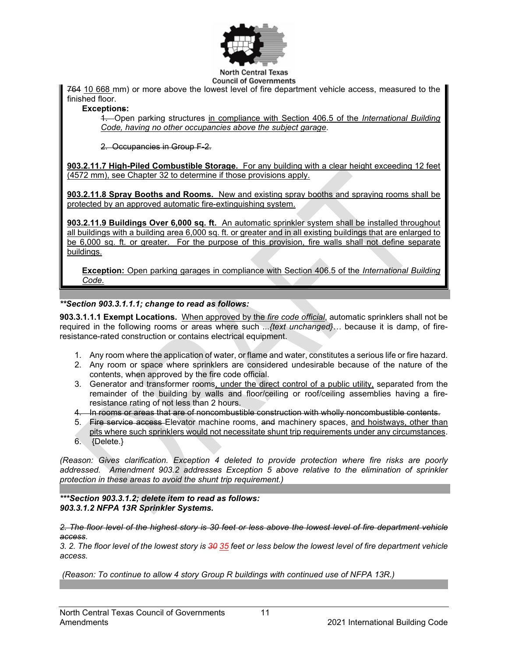

**North Central Texas Council of Governments** 

764 10 668 mm) or more above the lowest level of fire department vehicle access, measured to the finished floor.

**Exceptions:**

1. Open parking structures in compliance with Section 406.5 of the *International Building Code, having no other occupancies above the subject garage*.

2. Occupancies in Group F-2.

**903.2.11.7 High-Piled Combustible Storage.** For any building with a clear height exceeding 12 feet (4572 mm), see Chapter 32 to determine if those provisions apply.

**903.2.11.8 Spray Booths and Rooms.** New and existing spray booths and spraying rooms shall be protected by an approved automatic fire-extinguishing system.

**903.2.11.9 Buildings Over 6,000 sq. ft.** An automatic sprinkler system shall be installed throughout all buildings with a building area 6,000 sq. ft. or greater and in all existing buildings that are enlarged to be 6,000 sq. ft. or greater. For the purpose of this provision, fire walls shall not define separate buildings.

**Exception:** Open parking garages in compliance with Section 406.5 of the *International Building Code*.

## *\*\*Section 903.3.1.1.1; change to read as follows:*

**903.3.1.1.1 Exempt Locations.** When approved by the *fire code official*, automatic sprinklers shall not be required in the following rooms or areas where such *...{text unchanged}…* because it is damp, of fireresistance-rated construction or contains electrical equipment.

- 1. Any room where the application of water, or flame and water, constitutes a serious life or fire hazard.
- 2. Any room or space where sprinklers are considered undesirable because of the nature of the contents, when approved by the fire code official.
- 3. Generator and transformer rooms, under the direct control of a public utility, separated from the remainder of the building by walls and floor/ceiling or roof/ceiling assemblies having a fireresistance rating of not less than 2 hours.
- 4. In rooms or areas that are of noncombustible construction with wholly noncombustible contents.
- 5. Fire service access Elevator machine rooms, and machinery spaces, and hoistways, other than pits where such sprinklers would not necessitate shunt trip requirements under any circumstances.
- 6. {Delete.}

*(Reason: Gives clarification. Exception 4 deleted to provide protection where fire risks are poorly addressed. Amendment 903.2 addresses Exception 5 above relative to the elimination of sprinkler protection in these areas to avoid the shunt trip requirement.)*

*\*\*\*Section 903.3.1.2; delete item to read as follows: 903.3.1.2 NFPA 13R Sprinkler Systems.* 

*2. The floor level of the highest story is 30 feet or less above the lowest level of fire department vehicle access.*

*3. 2. The floor level of the lowest story is 30 35 feet or less below the lowest level of fire department vehicle access.*

*(Reason: To continue to allow 4 story Group R buildings with continued use of NFPA 13R.)*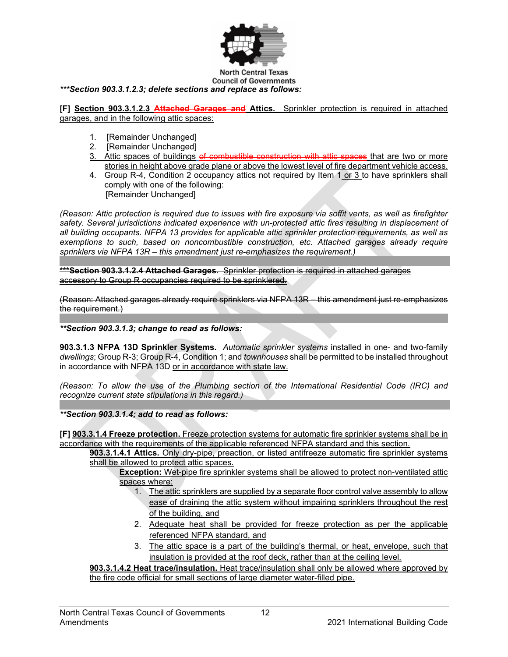

**North Central Texas Council of Governments** *\*\*\*Section 903.3.1.2.3; delete sections and replace as follows:*

**[F] Section 903.3.1.2.3 Attached Garages and Attics.** Sprinkler protection is required in attached garages, and in the following attic spaces:

- 1. [Remainder Unchanged]
- 2. [Remainder Unchanged]
- 3. Attic spaces of buildings of combustible construction with attic spaces that are two or more stories in height above grade plane or above the lowest level of fire department vehicle access.
- 4. Group R-4, Condition 2 occupancy attics not required by Item 1 or 3 to have sprinklers shall comply with one of the following: [Remainder Unchanged]

*(Reason: Attic protection is required due to issues with fire exposure via soffit vents, as well as firefighter*  safety. Several jurisdictions indicated experience with un-protected attic fires resulting in displacement of *all building occupants. NFPA 13 provides for applicable attic sprinkler protection requirements, as well as exemptions to such, based on noncombustible construction, etc. Attached garages already require sprinklers via NFPA 13R – this amendment just re-emphasizes the requirement.)*

**\*\*\*Section 903.3.1.2.4 Attached Garages.** Sprinkler protection is required in attached garages accessory to Group R occupancies required to be sprinklered.

(Reason: Attached garages already require sprinklers via NFPA 13R – this amendment just re-emphasizes the requirement.)

## *\*\*Section 903.3.1.3; change to read as follows:*

**903.3.1.3 NFPA 13D Sprinkler Systems.** *Automatic sprinkler systems* installed in one- and two-family *dwellings*; Group R-3; Group R-4, Condition 1; and *townhouses* shall be permitted to be installed throughout in accordance with NFPA 13D or in accordance with state law.

*(Reason: To allow the use of the Plumbing section of the International Residential Code (IRC) and recognize current state stipulations in this regard.)*

*\*\*Section 903.3.1.4; add to read as follows:*

**[F] 903.3.1.4 Freeze protection.** Freeze protection systems for automatic fire sprinkler systems shall be in accordance with the requirements of the applicable referenced NFPA standard and this section.

**903.3.1.4.1 Attics.** Only dry-pipe, preaction, or listed antifreeze automatic fire sprinkler systems shall be allowed to protect attic spaces.

**Exception:** Wet-pipe fire sprinkler systems shall be allowed to protect non-ventilated attic spaces where:

- 1. The attic sprinklers are supplied by a separate floor control valve assembly to allow ease of draining the attic system without impairing sprinklers throughout the rest of the building, and
- 2. Adequate heat shall be provided for freeze protection as per the applicable referenced NFPA standard, and
- 3. The attic space is a part of the building's thermal, or heat, envelope, such that insulation is provided at the roof deck, rather than at the ceiling level.

**903.3.1.4.2 Heat trace/insulation.** Heat trace/insulation shall only be allowed where approved by the fire code official for small sections of large diameter water-filled pipe.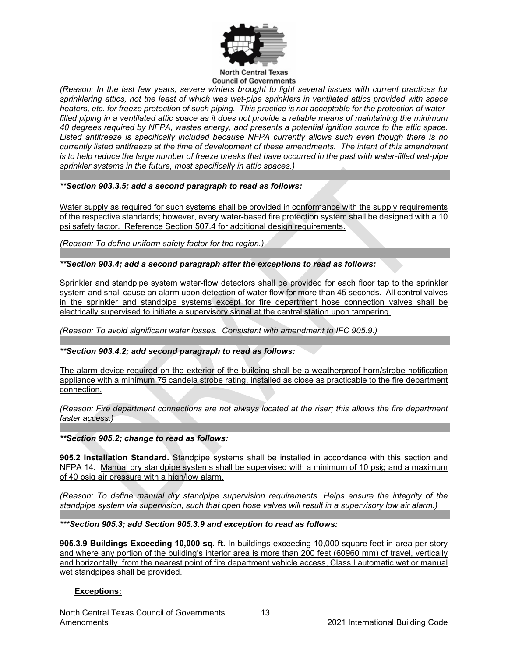

*(Reason: In the last few years, severe winters brought to light several issues with current practices for sprinklering attics, not the least of which was wet-pipe sprinklers in ventilated attics provided with space heaters, etc. for freeze protection of such piping. This practice is not acceptable for the protection of waterfilled piping in a ventilated attic space as it does not provide a reliable means of maintaining the minimum 40 degrees required by NFPA, wastes energy, and presents a potential ignition source to the attic space. Listed antifreeze is specifically included because NFPA currently allows such even though there is no currently listed antifreeze at the time of development of these amendments. The intent of this amendment is to help reduce the large number of freeze breaks that have occurred in the past with water-filled wet-pipe sprinkler systems in the future, most specifically in attic spaces.)*

#### *\*\*Section 903.3.5; add a second paragraph to read as follows:*

Water supply as required for such systems shall be provided in conformance with the supply requirements of the respective standards; however, every water-based fire protection system shall be designed with a 10 psi safety factor. Reference Section 507.4 for additional design requirements.

*(Reason: To define uniform safety factor for the region.)*

*\*\*Section 903.4; add a second paragraph after the exceptions to read as follows:*

Sprinkler and standpipe system water-flow detectors shall be provided for each floor tap to the sprinkler system and shall cause an alarm upon detection of water flow for more than 45 seconds. All control valves in the sprinkler and standpipe systems except for fire department hose connection valves shall be electrically supervised to initiate a supervisory signal at the central station upon tampering.

*(Reason: To avoid significant water losses. Consistent with amendment to IFC 905.9.)*

## *\*\*Section 903.4.2; add second paragraph to read as follows:*

The alarm device required on the exterior of the building shall be a weatherproof horn/strobe notification appliance with a minimum 75 candela strobe rating, installed as close as practicable to the fire department connection.

*(Reason: Fire department connections are not always located at the riser; this allows the fire department faster access.)*

#### *\*\*Section 905.2; change to read as follows:*

**905.2 Installation Standard.** Standpipe systems shall be installed in accordance with this section and NFPA 14. Manual dry standpipe systems shall be supervised with a minimum of 10 psig and a maximum of 40 psig air pressure with a high/low alarm.

*(Reason: To define manual dry standpipe supervision requirements. Helps ensure the integrity of the standpipe system via supervision, such that open hose valves will result in a supervisory low air alarm.)*

*\*\*\*Section 905.3; add Section 905.3.9 and exception to read as follows:*

**905.3.9 Buildings Exceeding 10,000 sq. ft.** In buildings exceeding 10,000 square feet in area per story and where any portion of the building's interior area is more than 200 feet (60960 mm) of travel, vertically and horizontally, from the nearest point of fire department vehicle access, Class I automatic wet or manual wet standpipes shall be provided.

## **Exceptions:**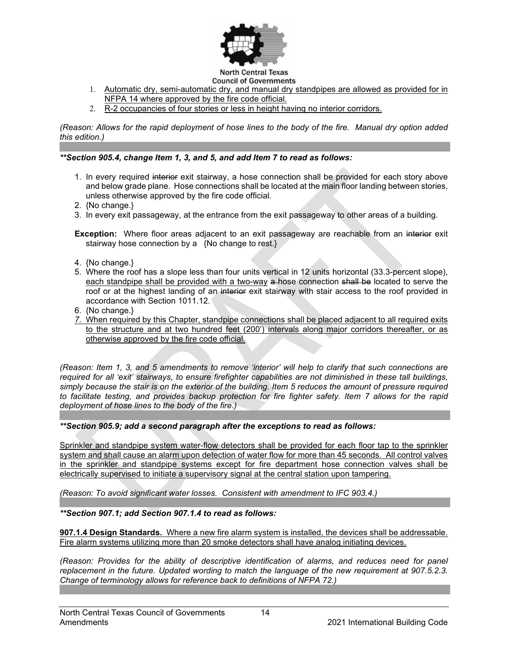

- 1. Automatic dry, semi-automatic dry, and manual dry standpipes are allowed as provided for in NFPA 14 where approved by the fire code official.
- 2. R-2 occupancies of four stories or less in height having no interior corridors.

*(Reason: Allows for the rapid deployment of hose lines to the body of the fire. Manual dry option added this edition.)*

#### *\*\*Section 905.4, change Item 1, 3, and 5, and add Item 7 to read as follows:*

- 1. In every required interior exit stairway, a hose connection shall be provided for each story above and below grade plane. Hose connections shall be located at the main floor landing between stories, unless otherwise approved by the fire code official.
- 2. {No change.}
- 3. In every exit passageway, at the entrance from the exit passageway to other areas of a building.

**Exception:** Where floor areas adjacent to an exit passageway are reachable from an interior exit stairway hose connection by a {No change to rest.}

- 4. {No change.}
- 5. Where the roof has a slope less than four units vertical in 12 units horizontal (33.3-percent slope), each standpipe shall be provided with a two-way a-hose connection shall be located to serve the roof or at the highest landing of an interior exit stairway with stair access to the roof provided in accordance with Section 1011.12.
- 6. {No change.}
- *7.* When required by this Chapter, standpipe connections shall be placed adjacent to all required exits to the structure and at two hundred feet (200') intervals along major corridors thereafter, or as otherwise approved by the fire code official.

*(Reason: Item 1, 3, and 5 amendments to remove 'interior' will help to clarify that such connections are required for all 'exit' stairways, to ensure firefighter capabilities are not diminished in these tall buildings, simply because the stair is on the exterior of the building. Item 5 reduces the amount of pressure required to facilitate testing, and provides backup protection for fire fighter safety. Item 7 allows for the rapid deployment of hose lines to the body of the fire.)*

#### *\*\*Section 905.9; add a second paragraph after the exceptions to read as follows:*

Sprinkler and standpipe system water-flow detectors shall be provided for each floor tap to the sprinkler system and shall cause an alarm upon detection of water flow for more than 45 seconds. All control valves in the sprinkler and standpipe systems except for fire department hose connection valves shall be electrically supervised to initiate a supervisory signal at the central station upon tampering.

*(Reason: To avoid significant water losses. Consistent with amendment to IFC 903.4.)*

*\*\*Section 907.1; add Section 907.1.4 to read as follows:*

**907.1.4 Design Standards.** Where a new fire alarm system is installed, the devices shall be addressable. Fire alarm systems utilizing more than 20 smoke detectors shall have analog initiating devices.

*(Reason: Provides for the ability of descriptive identification of alarms, and reduces need for panel replacement in the future. Updated wording to match the language of the new requirement at 907.5.2.3. Change of terminology allows for reference back to definitions of NFPA 72.)*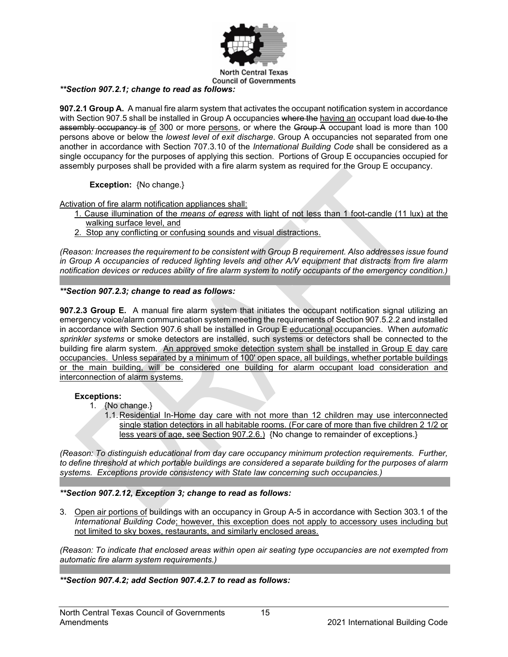

#### *\*\*Section 907.2.1; change to read as follows:*

**907.2.1 Group A.** A manual fire alarm system that activates the occupant notification system in accordance with Section 907.5 shall be installed in Group A occupancies where the having an occupant load due to the assembly occupancy is of 300 or more persons, or where the Group A occupant load is more than 100 persons above or below the *lowest level of exit discharge*. Group A occupancies not separated from one another in accordance with Section 707.3.10 of the *International Building Code* shall be considered as a single occupancy for the purposes of applying this section. Portions of Group E occupancies occupied for assembly purposes shall be provided with a fire alarm system as required for the Group E occupancy.

**Exception:** {No change.}

Activation of fire alarm notification appliances shall:

- 1. Cause illumination of the *means of egress* with light of not less than 1 foot-candle (11 lux) at the walking surface level, and
- 2. Stop any conflicting or confusing sounds and visual distractions.

*(Reason: Increases the requirement to be consistent with Group B requirement. Also addresses issue found in Group A occupancies of reduced lighting levels and other A/V equipment that distracts from fire alarm notification devices or reduces ability of fire alarm system to notify occupants of the emergency condition.)*

## *\*\*Section 907.2.3; change to read as follows:*

**907.2.3 Group E.** A manual fire alarm system that initiates the occupant notification signal utilizing an emergency voice/alarm communication system meeting the requirements of Section 907.5.2.2 and installed in accordance with Section 907.6 shall be installed in Group E educational occupancies. When *automatic sprinkler systems* or smoke detectors are installed, such systems or detectors shall be connected to the building fire alarm system. An approved smoke detection system shall be installed in Group E day care occupancies. Unless separated by a minimum of 100' open space, all buildings, whether portable buildings or the main building, will be considered one building for alarm occupant load consideration and interconnection of alarm systems.

## **Exceptions:**

- 1. {No change.}
	- 1.1. Residential In-Home day care with not more than 12 children may use interconnected single station detectors in all habitable rooms. (For care of more than five children 2 1/2 or less years of age, see Section 907.2.6.) {No change to remainder of exceptions.}

*(Reason: To distinguish educational from day care occupancy minimum protection requirements. Further, to define threshold at which portable buildings are considered a separate building for the purposes of alarm systems. Exceptions provide consistency with State law concerning such occupancies.)*

## *\*\*Section 907.2.12, Exception 3; change to read as follows:*

3. Open air portions of buildings with an occupancy in Group A-5 in accordance with Section 303.1 of the *International Building Code*; however, this exception does not apply to accessory uses including but not limited to sky boxes, restaurants, and similarly enclosed areas.

*(Reason: To indicate that enclosed areas within open air seating type occupancies are not exempted from automatic fire alarm system requirements.)*

*\*\*Section 907.4.2; add Section 907.4.2.7 to read as follows:*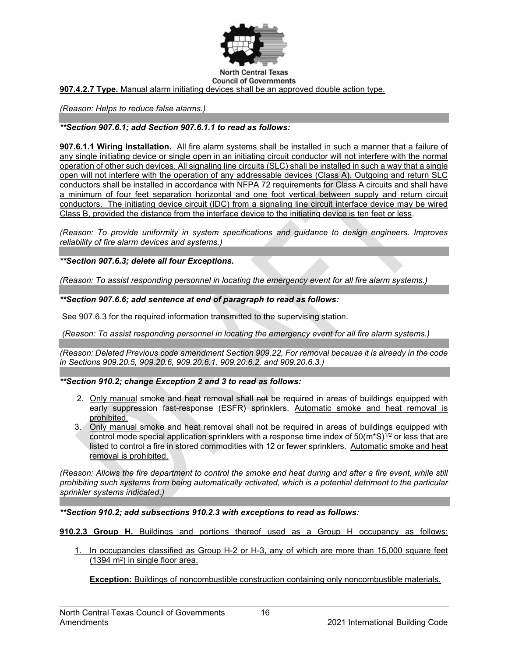

**907.4.2.7 Type.** Manual alarm initiating devices shall be an approved double action type.

*(Reason: Helps to reduce false alarms.)*

## *\*\*Section 907.6.1; add Section 907.6.1.1 to read as follows:*

**907.6.1.1 Wiring Installation.** All fire alarm systems shall be installed in such a manner that a failure of any single initiating device or single open in an initiating circuit conductor will not interfere with the normal operation of other such devices. All signaling line circuits (SLC) shall be installed in such a way that a single open will not interfere with the operation of any addressable devices (Class A). Outgoing and return SLC conductors shall be installed in accordance with NFPA 72 requirements for Class A circuits and shall have a minimum of four feet separation horizontal and one foot vertical between supply and return circuit conductors. The initiating device circuit (IDC) from a signaling line circuit interface device may be wired Class B, provided the distance from the interface device to the initiating device is ten feet or less.

*(Reason: To provide uniformity in system specifications and guidance to design engineers. Improves reliability of fire alarm devices and systems.)*

*\*\*Section 907.6.3; delete all four Exceptions.*

*(Reason: To assist responding personnel in locating the emergency event for all fire alarm systems.)*

#### *\*\*Section 907.6.6; add sentence at end of paragraph to read as follows:*

See 907.6.3 for the required information transmitted to the supervising station.

*(Reason: To assist responding personnel in locating the emergency event for all fire alarm systems.)*

*(Reason: Deleted Previous code amendment Section 909.22, For removal because it is already in the code in Sections 909.20.5, 909.20.6, 909.20.6.1, 909.20.6.2, and 909.20.6.3.)*

#### *\*\*Section 910.2; change Exception 2 and 3 to read as follows:*

- 2.Only manual smoke and heat removal shall not be required in areas of buildings equipped with early suppression fast-response (ESFR) sprinklers. Automatic smoke and heat removal is prohibited.
- 3. Only manual smoke and heat removal shall not be required in areas of buildings equipped with control mode special application sprinklers with a response time index of  $50(m^*S)^{1/2}$  or less that are listed to control a fire in stored commodities with 12 or fewer sprinklers. Automatic smoke and heat removal is prohibited.

*(Reason: Allows the fire department to control the smoke and heat during and after a fire event, while still prohibiting such systems from being automatically activated, which is a potential detriment to the particular sprinkler systems indicated.)*

*\*\*Section 910.2; add subsections 910.2.3 with exceptions to read as follows:*

**910.2.3 Group H.** Buildings and portions thereof used as a Group H occupancy as follows:

1. In occupancies classified as Group H-2 or H-3, any of which are more than 15,000 square feet (1394 m2) in single floor area.

**Exception:** Buildings of noncombustible construction containing only noncombustible materials.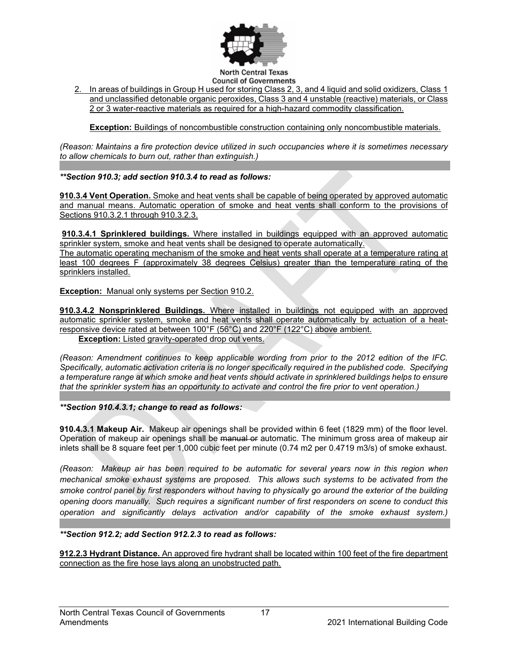

2. In areas of buildings in Group H used for storing Class 2, 3, and 4 liquid and solid oxidizers, Class 1 and unclassified detonable organic peroxides, Class 3 and 4 unstable (reactive) materials, or Class 2 or 3 water-reactive materials as required for a high-hazard commodity classification.

**Exception:** Buildings of noncombustible construction containing only noncombustible materials.

*(Reason: Maintains a fire protection device utilized in such occupancies where it is sometimes necessary to allow chemicals to burn out, rather than extinguish.)*

## *\*\*Section 910.3; add section 910.3.4 to read as follows:*

**910.3.4 Vent Operation.** Smoke and heat vents shall be capable of being operated by approved automatic and manual means. Automatic operation of smoke and heat vents shall conform to the provisions of [Sections 910.3.2.1](javascript:Next() through [910.3.2.3.](javascript:Next()

**910.3.4.1 Sprinklered buildings.** Where installed in buildings equipped with an approved automatic sprinkler system, smoke and heat vents shall be designed to operate automatically.

The automatic operating mechanism of the smoke and heat vents shall operate at a temperature rating at least 100 degrees F (approximately 38 degrees Celsius) greater than the temperature rating of the sprinklers installed.

**Exception:** Manual only systems per Section 910.2.

**910.3.4.2 Nonsprinklered Buildings.** Where installed in buildings not equipped with an approved automatic sprinkler system, smoke and heat vents shall operate automatically by actuation of a heatresponsive device rated at between 100°F (56°C) and 220°F (122°C) above ambient. **Exception:** Listed gravity-operated drop out vents.

*(Reason: Amendment continues to keep applicable wording from prior to the 2012 edition of the IFC. Specifically, automatic activation criteria is no longer specifically required in the published code. Specifying a temperature range at which smoke and heat vents should activate in sprinklered buildings helps to ensure that the sprinkler system has an opportunity to activate and control the fire prior to vent operation.)*

*\*\*Section 910.4.3.1; change to read as follows:*

**910.4.3.1 Makeup Air.** Makeup air openings shall be provided within 6 feet (1829 mm) of the floor level. Operation of makeup air openings shall be manual or automatic. The minimum gross area of makeup air inlets shall be 8 square feet per 1,000 cubic feet per minute (0.74 m2 per 0.4719 m3/s) of smoke exhaust.

*(Reason: Makeup air has been required to be automatic for several years now in this region when mechanical smoke exhaust systems are proposed. This allows such systems to be activated from the smoke control panel by first responders without having to physically go around the exterior of the building opening doors manually. Such requires a significant number of first responders on scene to conduct this operation and significantly delays activation and/or capability of the smoke exhaust system.)*

## *\*\*Section 912.2; add Section 912.2.3 to read as follows:*

**912.2.3 Hydrant Distance.** An approved fire hydrant shall be located within 100 feet of the fire department connection as the fire hose lays along an unobstructed path.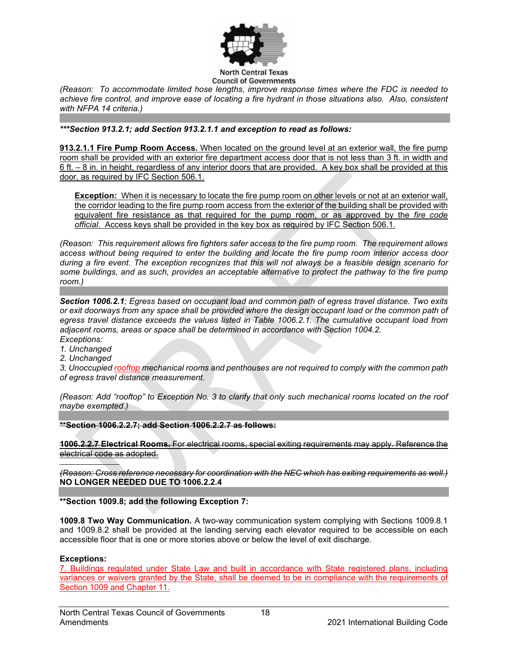

*(Reason: To accommodate limited hose lengths, improve response times where the FDC is needed to achieve fire control, and improve ease of locating a fire hydrant in those situations also. Also, consistent with NFPA 14 criteria.)*

*\*\*\*Section 913.2.1; add Section 913.2.1.1 and exception to read as follows:*

**913.2.1.1 Fire Pump Room Access.** When located on the ground level at an exterior wall, the fire pump room shall be provided with an exterior fire department access door that is not less than 3 ft. in width and 6 ft. – 8 in. in height, regardless of any interior doors that are provided. A key box shall be provided at this door, as required by IFC Section 506.1.

**Exception:** When it is necessary to locate the fire pump room on other levels or not at an exterior wall, the corridor leading to the fire pump room access from the exterior of the building shall be provided with equivalent fire resistance as that required for the pump room, or as approved by the *fire code official*. Access keys shall be provided in the key box as required by IFC Section 506.1.

*(Reason: This requirement allows fire fighters safer access to the fire pump room. The requirement allows access without being required to enter the building and locate the fire pump room interior access door during a fire event. The exception recognizes that this will not always be a feasible design scenario for some buildings, and as such, provides an acceptable alternative to protect the pathway to the fire pump room.)*

*Section 1006.2.1; Egress based on occupant load and common path of egress travel distance. Two exits or exit doorways from any space shall be provided where the design occupant load or the common path of egress travel distance exceeds the values listed in Table 1006.2.1. The cumulative occupant load from adjacent rooms, areas or space shall be determined in accordance with Section 1004.2. Exceptions:*

- *1. Unchanged*
- *2. Unchanged*

*3. Unoccupied rooftop mechanical rooms and penthouses are not required to comply with the common path of egress travel distance measurement.*

*(Reason: Add "rooftop" to Exception No. 3 to clarify that only such mechanical rooms located on the roof maybe exempted.)*

**\*\*Section 1006.2.2.7; add Section 1006.2.2.7 as follows:** 

**1006.2.2.7 Electrical Rooms.** For electrical rooms, special exiting requirements may apply. Reference the electrical code as adopted.

*(Reason: Cross reference necessary for coordination with the NEC which has exiting requirements as well.)* **NO LONGER NEEDED DUE TO 1006.2.2.4**

**\*\*Section 1009.8; add the following Exception 7:**

**1009.8 Two Way Communication.** A two-way communication system complying with Sections 1009.8.1 and 1009.8.2 shall be provided at the landing serving each elevator required to be accessible on each accessible floor that is one or more stories above or below the level of exit discharge.

## **Exceptions:**

7. Buildings regulated under State Law and built in accordance with State registered plans, including variances or waivers granted by the State, shall be deemed to be in compliance with the requirements of Section 1009 and Chapter 11.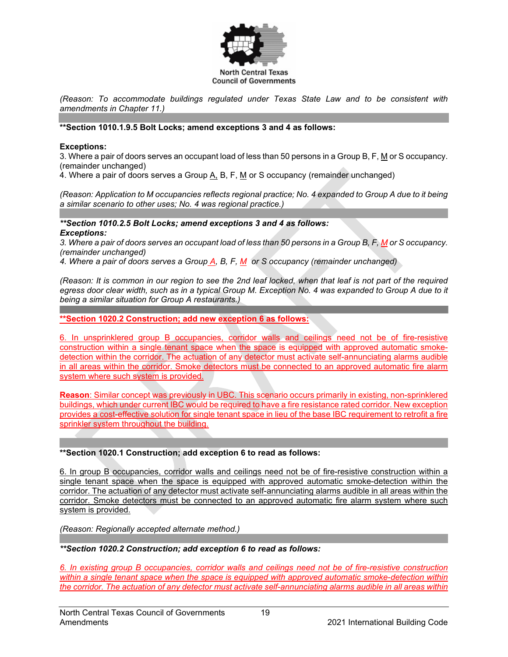

*(Reason: To accommodate buildings regulated under Texas State Law and to be consistent with amendments in Chapter 11.)* 

## **\*\*Section 1010.1.9.5 Bolt Locks; amend exceptions 3 and 4 as follows:**

#### **Exceptions:**

3. Where a pair of doors serves an occupant load of less than 50 persons in a Group B, F, M or S occupancy. (remainder unchanged)

4. Where a pair of doors serves a Group A, B, F, M or S occupancy (remainder unchanged)

*(Reason: Application to M occupancies reflects regional practice; No. 4 expanded to Group A due to it being a similar scenario to other uses; No. 4 was regional practice.)*

#### *\*\*Section 1010.2.5 Bolt Locks; amend exceptions 3 and 4 as follows: Exceptions:*

*3. Where a pair of doors serves an occupant load of less than 50 persons in a Group B, F, M or S occupancy. (remainder unchanged)*

*4. Where a pair of doors serves a Group A, B, F, M or S occupancy (remainder unchanged)*

*(Reason: It is common in our region to see the 2nd leaf locked, when that leaf is not part of the required egress door clear width, such as in a typical Group M. Exception No. 4 was expanded to Group A due to it being a similar situation for Group A restaurants.)*

**\*\*Section 1020.2 Construction; add new exception 6 as follows:**

6. In unsprinklered group B occupancies, corridor walls and ceilings need not be of fire-resistive construction within a single tenant space when the space is equipped with approved automatic smokedetection within the corridor. The actuation of any detector must activate self-annunciating alarms audible in all areas within the corridor. Smoke detectors must be connected to an approved automatic fire alarm system where such system is provided.

**Reason**: Similar concept was previously in UBC. This scenario occurs primarily in existing, non-sprinklered buildings, which under current IBC would be required to have a fire resistance rated corridor. New exception provides a cost-effective solution for single tenant space in lieu of the base IBC requirement to retrofit a fire sprinkler system throughout the building.

#### **\*\*Section 1020.1 Construction; add exception 6 to read as follows:**

6. In group B occupancies, corridor walls and ceilings need not be of fire-resistive construction within a single tenant space when the space is equipped with approved automatic smoke-detection within the corridor. The actuation of any detector must activate self-annunciating alarms audible in all areas within the corridor. Smoke detectors must be connected to an approved automatic fire alarm system where such system is provided.

*(Reason: Regionally accepted alternate method.)*

## *\*\*Section 1020.2 Construction; add exception 6 to read as follows:*

*6. In existing group B occupancies, corridor walls and ceilings need not be of fire-resistive construction within a single tenant space when the space is equipped with approved automatic smoke-detection within the corridor. The actuation of any detector must activate self-annunciating alarms audible in all areas within*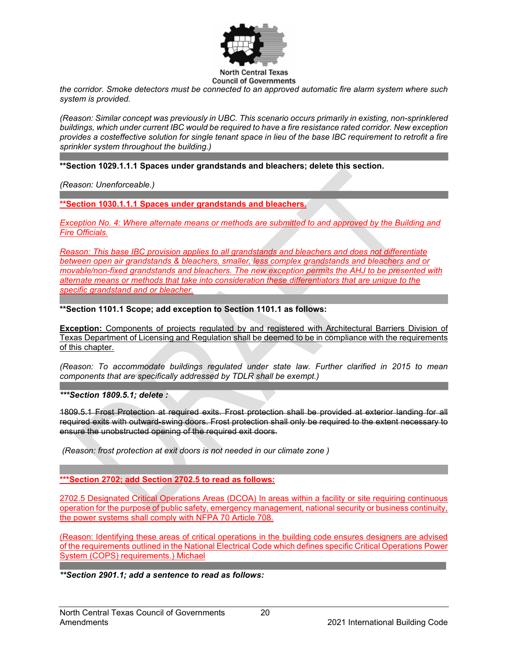

*the corridor. Smoke detectors must be connected to an approved automatic fire alarm system where such system is provided.*

*(Reason: Similar concept was previously in UBC. This scenario occurs primarily in existing, non-sprinklered buildings, which under current IBC would be required to have a fire resistance rated corridor. New exception provides a costeffective solution for single tenant space in lieu of the base IBC requirement to retrofit a fire sprinkler system throughout the building.)*

**\*\*Section 1029.1.1.1 Spaces under grandstands and bleachers; delete this section.**

*(Reason: Unenforceable.)*

**\*\*Section 1030.1.1.1 Spaces under grandstands and bleachers.**

*Exception No. 4: Where alternate means or methods are submitted to and approved by the Building and Fire Officials.*

*Reason: This base IBC provision applies to all grandstands and bleachers and does not differentiate between open air grandstands & bleachers, smaller, less complex grandstands and bleachers and or movable/non-fixed grandstands and bleachers. The new exception permits the AHJ to be presented with alternate means or methods that take into consideration these differentiators that are unique to the specific grandstand and or bleacher.*

**\*\*Section 1101.1 Scope; add exception to Section 1101.1 as follows:**

**Exception:** Components of projects regulated by and registered with Architectural Barriers Division of Texas Department of Licensing and Regulation shall be deemed to be in compliance with the requirements of this chapter.

*(Reason: To accommodate buildings regulated under state law. Further clarified in 2015 to mean components that are specifically addressed by TDLR shall be exempt.)*

*\*\*\*Section 1809.5.1; delete :*

1809.5.1 Frost Protection at required exits. Frost protection shall be provided at exterior landing for all required exits with outward-swing doors. Frost protection shall only be required to the extent necessary to ensure the unobstructed opening of the required exit doors.

*(Reason: frost protection at exit doors is not needed in our climate zone )*

**\*\*\*Section 2702; add Section 2702.5 to read as follows:**

2702.5 Designated Critical Operations Areas (DCOA) In areas within a facility or site requiring continuous operation for the purpose of public safety, emergency management, national security or business continuity, the power systems shall comply with NFPA 70 Article 708.

(Reason: Identifying these areas of critical operations in the building code ensures designers are advised of the requirements outlined in the National Electrical Code which defines specific Critical Operations Power System (COPS) requirements.) Michael

*\*\*Section 2901.1; add a sentence to read as follows:*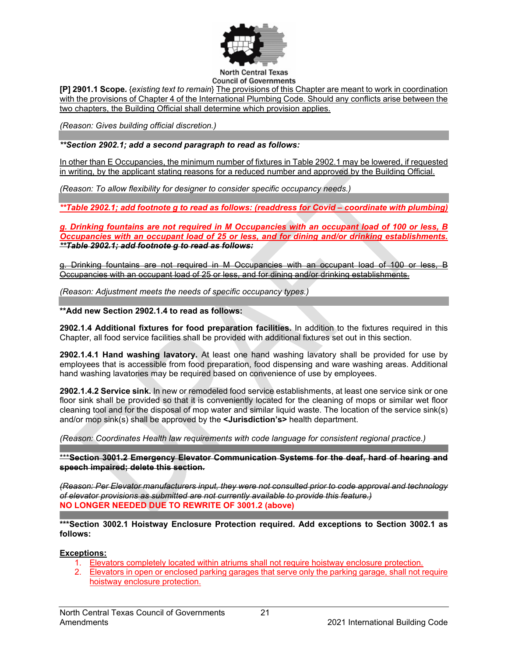

**[P] 2901.1 Scope.** {*existing text to remain*} The provisions of this Chapter are meant to work in coordination with the provisions of Chapter 4 of the International Plumbing Code. Should any conflicts arise between the two chapters, the Building Official shall determine which provision applies.

*(Reason: Gives building official discretion.)*

## *\*\*Section 2902.1; add a second paragraph to read as follows:*

In other than E Occupancies, the minimum number of fixtures in Table 2902.1 may be lowered, if requested in writing, by the applicant stating reasons for a reduced number and approved by the Building Official.

*(Reason: To allow flexibility for designer to consider specific occupancy needs.)*

*\*\*Table 2902.1; add footnote g to read as follows: (readdress for Covid – coordinate with plumbing)*

*g. Drinking fountains are not required in M Occupancies with an occupant load of 100 or less, B Occupancies with an occupant load of 25 or less, and for dining and/or drinking establishments. \*\*Table 2902.1; add footnote g to read as follows:*

g. Drinking fountains are not required in M Occupancies with an occupant load of 100 or less, B Occupancies with an occupant load of 25 or less, and for dining and/or drinking establishments.

*(Reason: Adjustment meets the needs of specific occupancy types.)*

**\*\*Add new Section 2902.1.4 to read as follows:** 

**2902.1.4 Additional fixtures for food preparation facilities.** In addition to the fixtures required in this Chapter, all food service facilities shall be provided with additional fixtures set out in this section.

**2902.1.4.1 Hand washing lavatory.** At least one hand washing lavatory shall be provided for use by employees that is accessible from food preparation, food dispensing and ware washing areas. Additional hand washing lavatories may be required based on convenience of use by employees.

**2902.1.4.2 Service sink.** In new or remodeled food service establishments, at least one service sink or one floor sink shall be provided so that it is conveniently located for the cleaning of mops or similar wet floor cleaning tool and for the disposal of mop water and similar liquid waste. The location of the service sink(s) and/or mop sink(s) shall be approved by the **<Jurisdiction's>** health department.

*(Reason: Coordinates Health law requirements with code language for consistent regional practice.)*

\*\*\***Section 3001.2 Emergency Elevator Communication Systems for the deaf, hard of hearing and speech impaired; delete this section.**

*(Reason: Per Elevator manufacturers input, they were not consulted prior to code approval and technology of elevator provisions as submitted are not currently available to provide this feature.)* **NO LONGER NEEDED DUE TO REWRITE OF 3001.2 (above)**

**\*\*\*Section 3002.1 Hoistway Enclosure Protection required. Add exceptions to Section 3002.1 as follows:**

## **Exceptions:**

- 1. Elevators completely located within atriums shall not require hoistway enclosure protection.
- 2. Elevators in open or enclosed parking garages that serve only the parking garage, shall not require hoistway enclosure protection.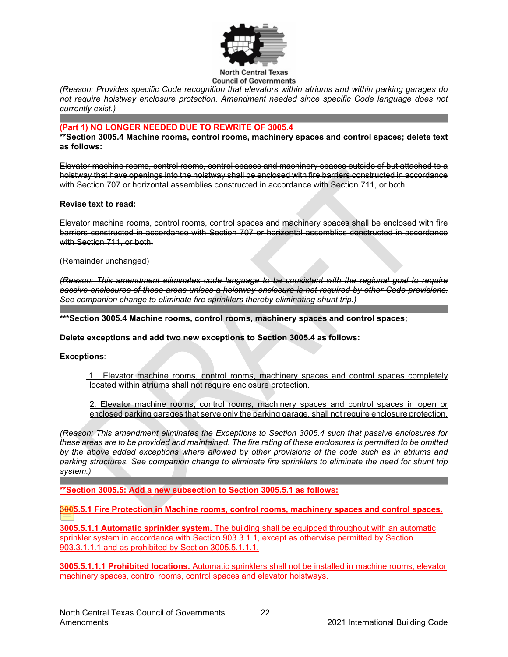

*(Reason: Provides specific Code recognition that elevators within atriums and within parking garages do not require hoistway enclosure protection. Amendment needed since specific Code language does not currently exist.)*

#### **(Part 1) NO LONGER NEEDED DUE TO REWRITE OF 3005.4**

**\*\*Section 3005.4 Machine rooms, control rooms, machinery spaces and control spaces; delete text as follows:**

Elevator machine rooms, control rooms, control spaces and machinery spaces outside of but attached to a hoistway that have openings into the hoistway shall be enclosed with fire barriers constructed in accordance with Section 707 or horizontal assemblies constructed in accordance with Section 711, or both.

#### **Revise text to read:**

Elevator machine rooms, control rooms, control spaces and machinery spaces shall be enclosed with fire barriers constructed in accordance with Section 707 or horizontal assemblies constructed in accordance with Section 711, or both.

#### (Remainder unchanged)

*(Reason: This amendment eliminates code language to be consistent with the regional goal to require passive enclosures of these areas unless a hoistway enclosure is not required by other Code provisions. See companion change to eliminate fire sprinklers thereby eliminating shunt trip.)* 

**\*\*\*Section 3005.4 Machine rooms, control rooms, machinery spaces and control spaces;**

**Delete exceptions and add two new exceptions to Section 3005.4 as follows:** 

#### **Exceptions**:

 1. Elevator machine rooms, control rooms, machinery spaces and control spaces completely located within atriums shall not require enclosure protection.

2. Elevator machine rooms, control rooms, machinery spaces and control spaces in open or enclosed parking garages that serve only the parking garage, shall not require enclosure protection.

*(Reason: This amendment eliminates the Exceptions to Section 3005.4 such that passive enclosures for*  these areas are to be provided and maintained. The fire rating of these enclosures is permitted to be omitted *by the above added exceptions where allowed by other provisions of the code such as in atriums and parking structures. See companion change to eliminate fire sprinklers to eliminate the need for shunt trip system.)*

**\*\*Section 3005.5: Add a new subsection to Section 3005.5.1 as follows:**

**3005.5.1 Fire Protection in Machine rooms, control rooms, machinery spaces and control spaces.**

**3005.5.1.1 Automatic sprinkler system.** The building shall be equipped throughout with an automatic sprinkler system in accordance with Section 903.3.1.1, except as otherwise permitted by Section 903.3.1.1.1 and as prohibited by Section 3005.5.1.1.1.

**3005.5.1.1.1 Prohibited locations.** Automatic sprinklers shall not be installed in machine rooms, elevator machinery spaces, control rooms, control spaces and elevator hoistways.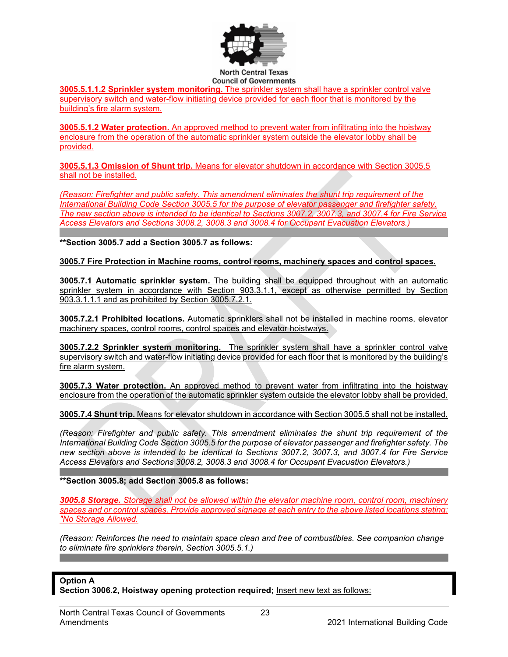

**3005.5.1.1.2 Sprinkler system monitoring.** The sprinkler system shall have a sprinkler control valve supervisory switch and water-flow initiating device provided for each floor that is monitored by the building's fire alarm system.

**3005.5.1.2 Water protection.** An approved method to prevent water from infiltrating into the hoistway enclosure from the operation of the automatic sprinkler system outside the elevator lobby shall be provided.

**3005.5.1.3 Omission of Shunt trip.** Means for elevator shutdown in accordance with Section 3005.5 shall not be installed.

*(Reason: Firefighter and public safety. This amendment eliminates the shunt trip requirement of the International Building Code Section 3005.5 for the purpose of elevator passenger and firefighter safety. The new section above is intended to be identical to Sections 3007.2, 3007.3, and 3007.4 for Fire Service Access Elevators and Sections 3008.2, 3008.3 and 3008.4 for Occupant Evacuation Elevators.)*

**\*\*Section 3005.7 add a Section 3005.7 as follows:**

**3005.7 Fire Protection in Machine rooms, control rooms, machinery spaces and control spaces.**

**3005.7.1 Automatic sprinkler system.** The building shall be equipped throughout with an automatic sprinkler system in accordance with Section 903.3.1.1, except as otherwise permitted by Section 903.3.1.1.1 and as prohibited by Section 3005.7.2.1.

**3005.7.2.1 Prohibited locations.** Automatic sprinklers shall not be installed in machine rooms, elevator machinery spaces, control rooms, control spaces and elevator hoistways.

**3005.7.2.2 Sprinkler system monitoring.** The sprinkler system shall have a sprinkler control valve supervisory switch and water-flow initiating device provided for each floor that is monitored by the building's fire alarm system.

**3005.7.3 Water protection.** An approved method to prevent water from infiltrating into the hoistway enclosure from the operation of the automatic sprinkler system outside the elevator lobby shall be provided.

**3005.7.4 Shunt trip.** Means for elevator shutdown in accordance with Section 3005.5 shall not be installed.

*(Reason: Firefighter and public safety. This amendment eliminates the shunt trip requirement of the International Building Code Section 3005.5 for the purpose of elevator passenger and firefighter safety. The new section above is intended to be identical to Sections 3007.2, 3007.3, and 3007.4 for Fire Service Access Elevators and Sections 3008.2, 3008.3 and 3008.4 for Occupant Evacuation Elevators.)* 

**\*\*Section 3005.8; add Section 3005.8 as follows:**

*3005.8 Storage. Storage shall not be allowed within the elevator machine room, control room, machinery spaces and or control spaces. Provide approved signage at each entry to the above listed locations stating: "No Storage Allowed.*

*(Reason: Reinforces the need to maintain space clean and free of combustibles. See companion change to eliminate fire sprinklers therein, Section 3005.5.1.)*

## **Option A**

**Section 3006.2, Hoistway opening protection required;** Insert new text as follows: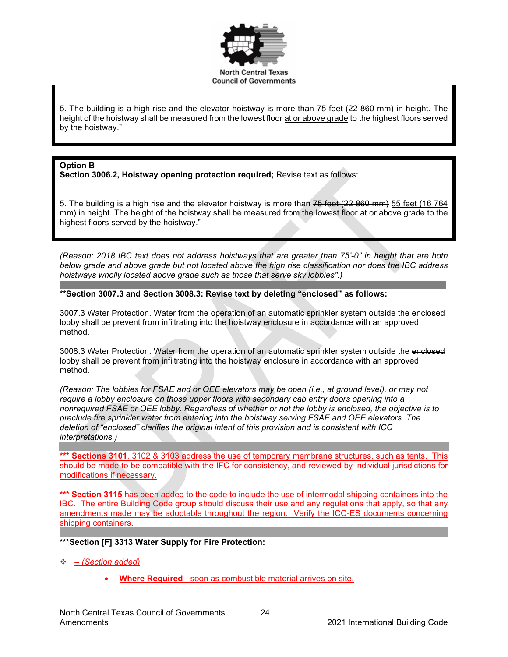

5. The building is a high rise and the elevator hoistway is more than 75 feet (22 860 mm) in height. The height of the hoistway shall be measured from the lowest floor at or above grade to the highest floors served by the hoistway."

#### **Option B**

Section 3006.2, Hoistway opening protection required; **Revise text as follows:** 

5. The building is a high rise and the elevator hoistway is more than  $75$  feet (22 860 mm) 55 feet (16 764 mm) in height. The height of the hoistway shall be measured from the lowest floor at or above grade to the highest floors served by the hoistway."

*(Reason: 2018 IBC text does not address hoistways that are greater than 75'-0" in height that are both below grade and above grade but not located above the high rise classification nor does the IBC address hoistways wholly located above grade such as those that serve sky lobbies".)* 

#### **\*\*Section 3007.3 and Section 3008.3: Revise text by deleting "enclosed" as follows:**

3007.3 Water Protection. Water from the operation of an automatic sprinkler system outside the enclosed lobby shall be prevent from infiltrating into the hoistway enclosure in accordance with an approved method.

3008.3 Water Protection. Water from the operation of an automatic sprinkler system outside the enclosed lobby shall be prevent from infiltrating into the hoistway enclosure in accordance with an approved method.

*(Reason: The lobbies for FSAE and or OEE elevators may be open (i.e., at ground level), or may not require a lobby enclosure on those upper floors with secondary cab entry doors opening into a nonrequired FSAE or OEE lobby. Regardless of whether or not the lobby is enclosed, the objective is to preclude fire sprinkler water from entering into the hoistway serving FSAE and OEE elevators. The deletion of "enclosed" clarifies the original intent of this provision and is consistent with ICC interpretations.)*

**\*\*\* Sections 3101**, 3102 & 3103 address the use of temporary membrane structures, such as tents. This should be made to be compatible with the IFC for consistency, and reviewed by individual jurisdictions for modifications if necessary.

**\*\*\* Section 3115** has been added to the code to include the use of intermodal shipping containers into the IBC. The entire Building Code group should discuss their use and any regulations that apply, so that any amendments made may be adoptable throughout the region. Verify the ICC-ES documents concerning shipping containers.

## **\*\*\*Section [F] 3313 Water Supply for Fire Protection:**

- *– (Section added)* 
	- **Where Required** soon as combustible material arrives on site,